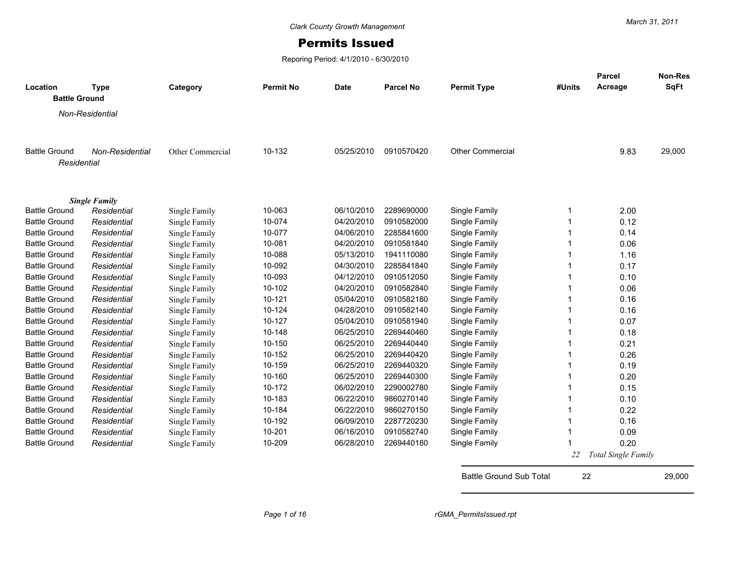## Permits Issued

Reporing Period: 4/1/2010 - 6/30/2010

| Location             | <b>Type</b>          | Category         | <b>Permit No</b> | <b>Date</b> | <b>Parcel No</b> | <b>Permit Type</b>      | #Units      | Parcel<br>Acreage   | <b>Non-Res</b><br>SqFt |
|----------------------|----------------------|------------------|------------------|-------------|------------------|-------------------------|-------------|---------------------|------------------------|
| <b>Battle Ground</b> |                      |                  |                  |             |                  |                         |             |                     |                        |
|                      | Non-Residential      |                  |                  |             |                  |                         |             |                     |                        |
|                      |                      |                  |                  |             |                  |                         |             |                     |                        |
|                      |                      |                  |                  |             |                  |                         |             |                     |                        |
| <b>Battle Ground</b> | Non-Residential      | Other Commercial | 10-132           | 05/25/2010  | 0910570420       | <b>Other Commercial</b> |             | 9.83                | 29,000                 |
| Residential          |                      |                  |                  |             |                  |                         |             |                     |                        |
|                      |                      |                  |                  |             |                  |                         |             |                     |                        |
|                      |                      |                  |                  |             |                  |                         |             |                     |                        |
|                      | <b>Single Family</b> |                  |                  |             |                  |                         |             |                     |                        |
| <b>Battle Ground</b> | Residential          | Single Family    | 10-063           | 06/10/2010  | 2289690000       | Single Family           | $\mathbf 1$ | 2.00                |                        |
| <b>Battle Ground</b> | Residential          | Single Family    | 10-074           | 04/20/2010  | 0910582000       | Single Family           |             | 0.12                |                        |
| <b>Battle Ground</b> | Residential          | Single Family    | 10-077           | 04/06/2010  | 2285841600       | Single Family           |             | 0.14                |                        |
| <b>Battle Ground</b> | Residential          | Single Family    | 10-081           | 04/20/2010  | 0910581840       | Single Family           |             | 0.06                |                        |
| <b>Battle Ground</b> | Residential          | Single Family    | 10-088           | 05/13/2010  | 1941110080       | Single Family           |             | 1.16                |                        |
| <b>Battle Ground</b> | Residential          | Single Family    | 10-092           | 04/30/2010  | 2285841840       | Single Family           |             | 0.17                |                        |
| <b>Battle Ground</b> | Residential          | Single Family    | 10-093           | 04/12/2010  | 0910512050       | Single Family           |             | 0.10                |                        |
| <b>Battle Ground</b> | Residential          | Single Family    | 10-102           | 04/20/2010  | 0910582840       | Single Family           |             | 0.06                |                        |
| <b>Battle Ground</b> | Residential          | Single Family    | 10-121           | 05/04/2010  | 0910582180       | Single Family           |             | 0.16                |                        |
| <b>Battle Ground</b> | Residential          | Single Family    | 10-124           | 04/28/2010  | 0910582140       | Single Family           |             | 0.16                |                        |
| <b>Battle Ground</b> | Residential          | Single Family    | 10-127           | 05/04/2010  | 0910581940       | Single Family           |             | 0.07                |                        |
| <b>Battle Ground</b> | Residential          | Single Family    | 10-148           | 06/25/2010  | 2269440460       | Single Family           |             | 0.18                |                        |
| <b>Battle Ground</b> | Residential          | Single Family    | 10-150           | 06/25/2010  | 2269440440       | Single Family           |             | 0.21                |                        |
| <b>Battle Ground</b> | Residential          | Single Family    | 10-152           | 06/25/2010  | 2269440420       | Single Family           |             | 0.26                |                        |
| <b>Battle Ground</b> | Residential          | Single Family    | 10-159           | 06/25/2010  | 2269440320       | Single Family           |             | 0.19                |                        |
| <b>Battle Ground</b> | Residential          | Single Family    | 10-160           | 06/25/2010  | 2269440300       | Single Family           |             | 0.20                |                        |
| <b>Battle Ground</b> | Residential          | Single Family    | 10-172           | 06/02/2010  | 2290002780       | Single Family           |             | 0.15                |                        |
| <b>Battle Ground</b> | Residential          | Single Family    | 10-183           | 06/22/2010  | 9860270140       | Single Family           |             | 0.10                |                        |
| <b>Battle Ground</b> | Residential          | Single Family    | 10-184           | 06/22/2010  | 9860270150       | Single Family           |             | 0.22                |                        |
| <b>Battle Ground</b> | Residential          | Single Family    | 10-192           | 06/09/2010  | 2287720230       | Single Family           |             | 0.16                |                        |
| <b>Battle Ground</b> | Residential          | Single Family    | 10-201           | 06/16/2010  | 0910582740       | Single Family           |             | 0.09                |                        |
| <b>Battle Ground</b> | Residential          | Single Family    | 10-209           | 06/28/2010  | 2269440180       | Single Family           |             | 0.20                |                        |
|                      |                      |                  |                  |             |                  |                         | 22          | Total Single Family |                        |
|                      |                      |                  |                  |             |                  |                         |             |                     |                        |

Battle Ground Sub Total 22 29,000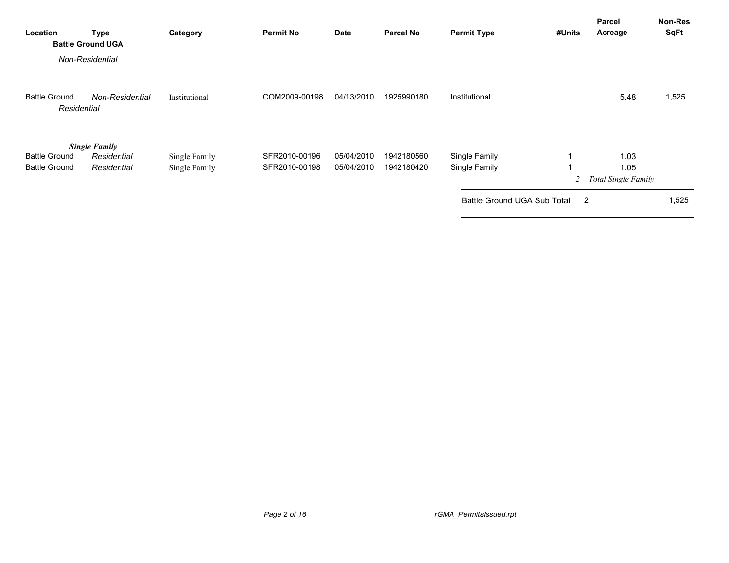| Location                                     | <b>Type</b><br><b>Battle Ground UGA</b>            | Category                       | <b>Permit No</b>               | Date                     | <b>Parcel No</b>         | <b>Permit Type</b>                                            | #Units | Parcel<br>Acreage                   | Non-Res<br><b>SqFt</b> |
|----------------------------------------------|----------------------------------------------------|--------------------------------|--------------------------------|--------------------------|--------------------------|---------------------------------------------------------------|--------|-------------------------------------|------------------------|
|                                              | Non-Residential                                    |                                |                                |                          |                          |                                                               |        |                                     |                        |
| <b>Battle Ground</b><br>Residential          | Non-Residential                                    | Institutional                  | COM2009-00198                  | 04/13/2010               | 1925990180               | Institutional                                                 |        | 5.48                                | 1,525                  |
| <b>Battle Ground</b><br><b>Battle Ground</b> | <b>Single Family</b><br>Residential<br>Residential | Single Family<br>Single Family | SFR2010-00196<br>SFR2010-00198 | 05/04/2010<br>05/04/2010 | 1942180560<br>1942180420 | Single Family<br>Single Family<br>Battle Ground UGA Sub Total | 2<br>2 | 1.03<br>1.05<br>Total Single Family | 1,525                  |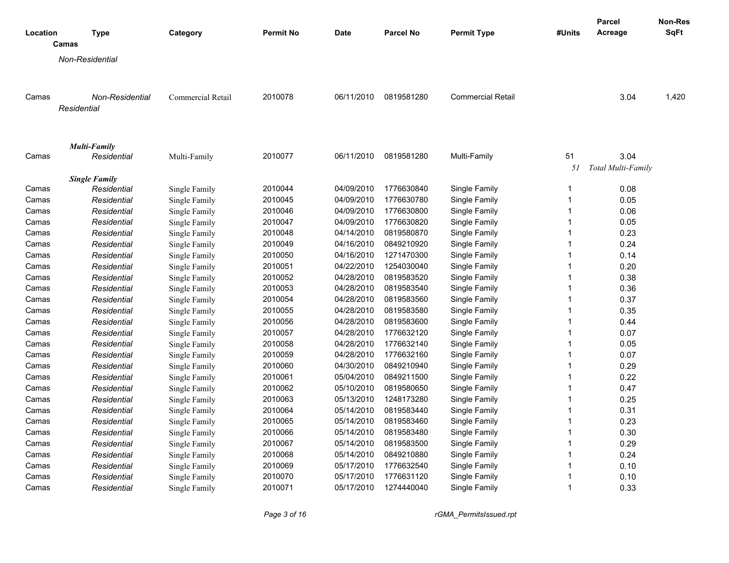|                |                                     |                                |                    |                          |                          |                                |              | <b>Parcel</b>      | Non-Res     |
|----------------|-------------------------------------|--------------------------------|--------------------|--------------------------|--------------------------|--------------------------------|--------------|--------------------|-------------|
| Location       | <b>Type</b>                         | Category                       | <b>Permit No</b>   | <b>Date</b>              | <b>Parcel No</b>         | <b>Permit Type</b>             | #Units       | Acreage            | <b>SqFt</b> |
|                | Camas                               |                                |                    |                          |                          |                                |              |                    |             |
|                | Non-Residential                     |                                |                    |                          |                          |                                |              |                    |             |
|                |                                     |                                |                    |                          |                          |                                |              |                    |             |
|                |                                     |                                |                    |                          |                          |                                |              |                    |             |
| Camas          | <b>Non-Residential</b>              | Commercial Retail              | 2010078            | 06/11/2010               | 0819581280               | <b>Commercial Retail</b>       |              | 3.04               | 1,420       |
|                | Residential                         |                                |                    |                          |                          |                                |              |                    |             |
|                |                                     |                                |                    |                          |                          |                                |              |                    |             |
|                |                                     |                                |                    |                          |                          |                                |              |                    |             |
|                | <b>Multi-Family</b>                 |                                |                    |                          |                          |                                |              |                    |             |
| Camas          | Residential                         | Multi-Family                   | 2010077            | 06/11/2010               | 0819581280               | Multi-Family                   | 51           | 3.04               |             |
|                |                                     |                                |                    |                          |                          |                                | 51           | Total Multi-Family |             |
| Camas          | <b>Single Family</b><br>Residential |                                | 2010044            | 04/09/2010               | 1776630840               |                                | 1            | 0.08               |             |
| Camas          | Residential                         | Single Family<br>Single Family | 2010045            | 04/09/2010               | 1776630780               | Single Family<br>Single Family | $\mathbf{1}$ | 0.05               |             |
|                | Residential                         |                                | 2010046            | 04/09/2010               | 1776630800               | Single Family                  | $\mathbf{1}$ | 0.06               |             |
| Camas          | Residential                         | Single Family                  | 2010047            | 04/09/2010               | 1776630820               |                                | $\mathbf{1}$ | 0.05               |             |
| Camas<br>Camas | Residential                         | Single Family                  | 2010048            | 04/14/2010               | 0819580870               | Single Family<br>Single Family | $\mathbf{1}$ | 0.23               |             |
|                | Residential                         | Single Family                  | 2010049            | 04/16/2010               | 0849210920               | Single Family                  | $\mathbf{1}$ | 0.24               |             |
| Camas          |                                     | Single Family                  | 2010050            | 04/16/2010               | 1271470300               |                                | $\mathbf{1}$ |                    |             |
| Camas          | Residential                         | Single Family<br>Single Family | 2010051            | 04/22/2010               | 1254030040               | Single Family                  | $\mathbf{1}$ | 0.14<br>0.20       |             |
| Camas          | Residential                         |                                | 2010052            | 04/28/2010               | 0819583520               | Single Family                  | $\mathbf{1}$ | 0.38               |             |
| Camas          | Residential                         | Single Family                  | 2010053            |                          | 0819583540               | Single Family<br>Single Family | $\mathbf{1}$ | 0.36               |             |
| Camas          | Residential                         | Single Family                  |                    | 04/28/2010               | 0819583560               |                                | $\mathbf{1}$ |                    |             |
| Camas          | Residential                         | Single Family                  | 2010054            | 04/28/2010               | 0819583580               | Single Family                  | $\mathbf{1}$ | 0.37<br>0.35       |             |
| Camas          | Residential                         | Single Family                  | 2010055            | 04/28/2010               | 0819583600               | Single Family                  | 1            |                    |             |
| Camas          | Residential                         | Single Family                  | 2010056            | 04/28/2010               |                          | Single Family                  | $\mathbf{1}$ | 0.44               |             |
| Camas          | Residential                         | Single Family                  | 2010057            | 04/28/2010               | 1776632120<br>1776632140 | Single Family                  | 1            | 0.07               |             |
| Camas          | Residential                         | Single Family                  | 2010058            | 04/28/2010               |                          | Single Family                  | $\mathbf{1}$ | 0.05               |             |
| Camas          | Residential<br>Residential          | Single Family                  | 2010059<br>2010060 | 04/28/2010<br>04/30/2010 | 1776632160<br>0849210940 | Single Family                  | $\mathbf{1}$ | 0.07<br>0.29       |             |
| Camas          |                                     | Single Family                  |                    |                          |                          | Single Family                  | $\mathbf{1}$ | 0.22               |             |
| Camas          | Residential                         | Single Family                  | 2010061            | 05/04/2010               | 0849211500               | Single Family                  | $\mathbf{1}$ |                    |             |
| Camas          | Residential                         | Single Family                  | 2010062            | 05/10/2010               | 0819580650               | Single Family                  | $\mathbf{1}$ | 0.47<br>0.25       |             |
| Camas          | Residential                         | Single Family                  | 2010063            | 05/13/2010               | 1248173280               | Single Family                  | $\mathbf{1}$ | 0.31               |             |
| Camas          | Residential                         | Single Family                  | 2010064            | 05/14/2010               | 0819583440               | Single Family                  | $\mathbf{1}$ |                    |             |
| Camas          | Residential                         | Single Family                  | 2010065            | 05/14/2010               | 0819583460               | Single Family                  |              | 0.23               |             |
| Camas          | Residential                         | Single Family                  | 2010066            | 05/14/2010               | 0819583480               | Single Family                  | $\mathbf{1}$ | 0.30               |             |
| Camas          | Residential                         | Single Family                  | 2010067            | 05/14/2010               | 0819583500               | Single Family                  | $\mathbf{1}$ | 0.29               |             |
| Camas          | Residential                         | Single Family                  | 2010068            | 05/14/2010               | 0849210880               | Single Family                  | $\mathbf{1}$ | 0.24               |             |
| Camas          | Residential                         | Single Family                  | 2010069            | 05/17/2010               | 1776632540               | Single Family                  | $\mathbf{1}$ | 0.10               |             |
| Camas          | Residential                         | Single Family                  | 2010070            | 05/17/2010               | 1776631120               | Single Family                  | 1            | 0.10               |             |
| Camas          | Residential                         | Single Family                  | 2010071            | 05/17/2010               | 1274440040               | Single Family                  | $\mathbf{1}$ | 0.33               |             |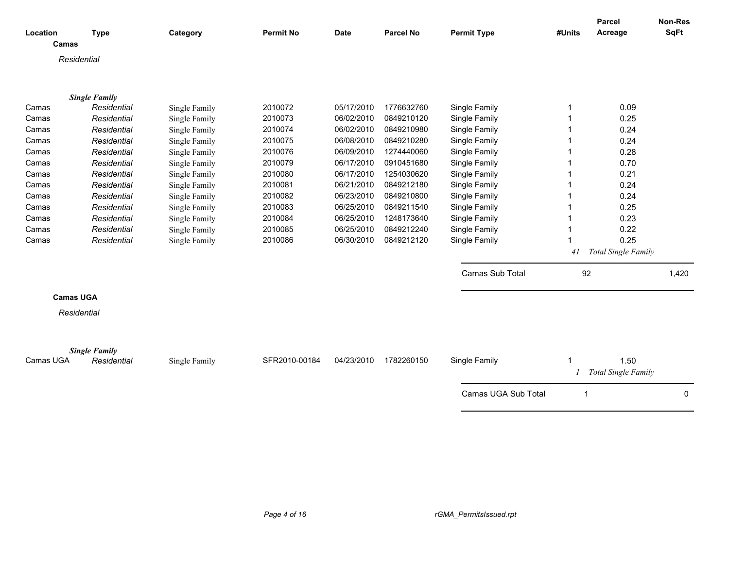| Location         | <b>Type</b>          | Category      | <b>Permit No</b> | <b>Date</b> | <b>Parcel No</b> | <b>Permit Type</b>  | #Units         | Parcel<br>Acreage           | Non-Res<br><b>SqFt</b> |
|------------------|----------------------|---------------|------------------|-------------|------------------|---------------------|----------------|-----------------------------|------------------------|
| Camas            |                      |               |                  |             |                  |                     |                |                             |                        |
| Residential      |                      |               |                  |             |                  |                     |                |                             |                        |
|                  |                      |               |                  |             |                  |                     |                |                             |                        |
|                  | <b>Single Family</b> |               |                  |             |                  |                     |                |                             |                        |
| Camas            | Residential          | Single Family | 2010072          | 05/17/2010  | 1776632760       | Single Family       | 1              | 0.09                        |                        |
| Camas            | Residential          | Single Family | 2010073          | 06/02/2010  | 0849210120       | Single Family       |                | 0.25                        |                        |
| Camas            | Residential          | Single Family | 2010074          | 06/02/2010  | 0849210980       | Single Family       |                | 0.24                        |                        |
| Camas            | Residential          | Single Family | 2010075          | 06/08/2010  | 0849210280       | Single Family       |                | 0.24                        |                        |
| Camas            | Residential          | Single Family | 2010076          | 06/09/2010  | 1274440060       | Single Family       |                | 0.28                        |                        |
| Camas            | Residential          | Single Family | 2010079          | 06/17/2010  | 0910451680       | Single Family       |                | 0.70                        |                        |
| Camas            | Residential          | Single Family | 2010080          | 06/17/2010  | 1254030620       | Single Family       |                | 0.21                        |                        |
| Camas            | Residential          | Single Family | 2010081          | 06/21/2010  | 0849212180       | Single Family       |                | 0.24                        |                        |
| Camas            | Residential          | Single Family | 2010082          | 06/23/2010  | 0849210800       | Single Family       |                | 0.24                        |                        |
| Camas            | Residential          | Single Family | 2010083          | 06/25/2010  | 0849211540       | Single Family       |                | 0.25                        |                        |
| Camas            | Residential          | Single Family | 2010084          | 06/25/2010  | 1248173640       | Single Family       |                | 0.23                        |                        |
| Camas            | Residential          | Single Family | 2010085          | 06/25/2010  | 0849212240       | Single Family       |                | 0.22                        |                        |
| Camas            | Residential          | Single Family | 2010086          | 06/30/2010  | 0849212120       | Single Family       |                | 0.25                        |                        |
|                  |                      |               |                  |             |                  |                     | 41             | Total Single Family         |                        |
|                  |                      |               |                  |             |                  | Camas Sub Total     | 92             |                             | 1,420                  |
| <b>Camas UGA</b> |                      |               |                  |             |                  |                     |                |                             |                        |
|                  |                      |               |                  |             |                  |                     |                |                             |                        |
| Residential      |                      |               |                  |             |                  |                     |                |                             |                        |
|                  |                      |               |                  |             |                  |                     |                |                             |                        |
|                  | <b>Single Family</b> |               |                  |             |                  |                     |                |                             |                        |
| Camas UGA        | Residential          | Single Family | SFR2010-00184    | 04/23/2010  | 1782260150       | Single Family       | 1              | 1.50<br>Total Single Family |                        |
|                  |                      |               |                  |             |                  |                     |                |                             |                        |
|                  |                      |               |                  |             |                  | Camas UGA Sub Total | $\overline{1}$ |                             | 0                      |
|                  |                      |               |                  |             |                  |                     |                |                             |                        |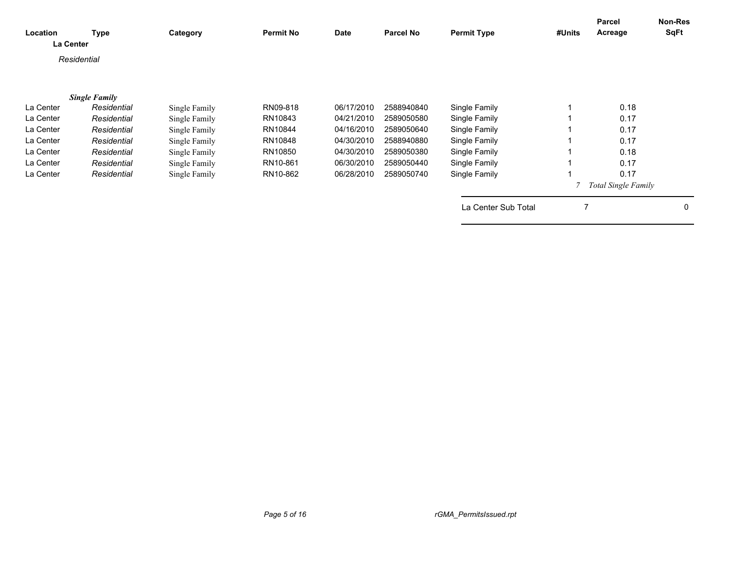| Location<br>La Center | <b>Type</b>          | Category      | <b>Permit No</b> | <b>Date</b> | <b>Parcel No</b> | <b>Permit Type</b>  | #Units | Parcel<br>Acreage          | Non-Res<br><b>SqFt</b> |
|-----------------------|----------------------|---------------|------------------|-------------|------------------|---------------------|--------|----------------------------|------------------------|
|                       | Residential          |               |                  |             |                  |                     |        |                            |                        |
|                       | <b>Single Family</b> |               |                  |             |                  |                     |        |                            |                        |
| La Center             | Residential          | Single Family | RN09-818         | 06/17/2010  | 2588940840       | Single Family       |        | 0.18                       |                        |
| La Center             | Residential          | Single Family | RN10843          | 04/21/2010  | 2589050580       | Single Family       |        | 0.17                       |                        |
| La Center             | Residential          | Single Family | RN10844          | 04/16/2010  | 2589050640       | Single Family       |        | 0.17                       |                        |
| La Center             | Residential          | Single Family | RN10848          | 04/30/2010  | 2588940880       | Single Family       |        | 0.17                       |                        |
| La Center             | Residential          | Single Family | RN10850          | 04/30/2010  | 2589050380       | Single Family       |        | 0.18                       |                        |
| La Center             | Residential          | Single Family | RN10-861         | 06/30/2010  | 2589050440       | Single Family       |        | 0.17                       |                        |
| La Center             | Residential          | Single Family | RN10-862         | 06/28/2010  | 2589050740       | Single Family       |        | 0.17                       |                        |
|                       |                      |               |                  |             |                  |                     |        | <b>Total Single Family</b> |                        |
|                       |                      |               |                  |             |                  | La Center Sub Total | 7      |                            | 0                      |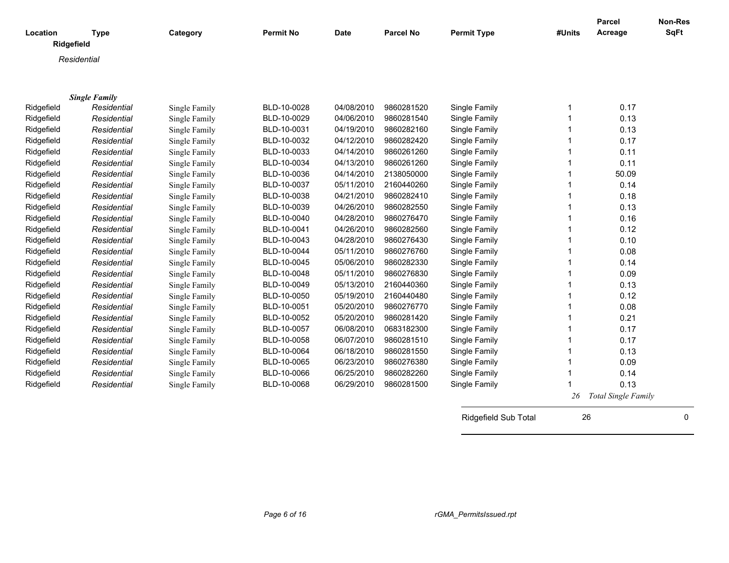| Location   | <b>Type</b>          | Category      | <b>Permit No</b> | <b>Date</b> | <b>Parcel No</b> | <b>Permit Type</b> | #Units | <b>Parcel</b><br>Acreage   | <b>Non-Res</b><br>SqFt |
|------------|----------------------|---------------|------------------|-------------|------------------|--------------------|--------|----------------------------|------------------------|
| Ridgefield |                      |               |                  |             |                  |                    |        |                            |                        |
|            | Residential          |               |                  |             |                  |                    |        |                            |                        |
|            |                      |               |                  |             |                  |                    |        |                            |                        |
|            |                      |               |                  |             |                  |                    |        |                            |                        |
|            | <b>Single Family</b> |               |                  |             |                  |                    |        |                            |                        |
| Ridgefield | Residential          | Single Family | BLD-10-0028      | 04/08/2010  | 9860281520       | Single Family      | 1      | 0.17                       |                        |
| Ridgefield | Residential          | Single Family | BLD-10-0029      | 04/06/2010  | 9860281540       | Single Family      | 1      | 0.13                       |                        |
| Ridgefield | Residential          | Single Family | BLD-10-0031      | 04/19/2010  | 9860282160       | Single Family      | 1      | 0.13                       |                        |
| Ridgefield | Residential          | Single Family | BLD-10-0032      | 04/12/2010  | 9860282420       | Single Family      | 1      | 0.17                       |                        |
| Ridgefield | Residential          | Single Family | BLD-10-0033      | 04/14/2010  | 9860261260       | Single Family      | 1      | 0.11                       |                        |
| Ridgefield | Residential          | Single Family | BLD-10-0034      | 04/13/2010  | 9860261260       | Single Family      | 1      | 0.11                       |                        |
| Ridgefield | Residential          | Single Family | BLD-10-0036      | 04/14/2010  | 2138050000       | Single Family      | 1      | 50.09                      |                        |
| Ridgefield | Residential          | Single Family | BLD-10-0037      | 05/11/2010  | 2160440260       | Single Family      | 1      | 0.14                       |                        |
| Ridgefield | Residential          | Single Family | BLD-10-0038      | 04/21/2010  | 9860282410       | Single Family      | 1      | 0.18                       |                        |
| Ridgefield | Residential          | Single Family | BLD-10-0039      | 04/26/2010  | 9860282550       | Single Family      | 1      | 0.13                       |                        |
| Ridgefield | Residential          | Single Family | BLD-10-0040      | 04/28/2010  | 9860276470       | Single Family      | 1      | 0.16                       |                        |
| Ridgefield | Residential          | Single Family | BLD-10-0041      | 04/26/2010  | 9860282560       | Single Family      | 1      | 0.12                       |                        |
| Ridgefield | Residential          | Single Family | BLD-10-0043      | 04/28/2010  | 9860276430       | Single Family      | 1      | 0.10                       |                        |
| Ridgefield | Residential          | Single Family | BLD-10-0044      | 05/11/2010  | 9860276760       | Single Family      | 1      | 0.08                       |                        |
| Ridgefield | Residential          | Single Family | BLD-10-0045      | 05/06/2010  | 9860282330       | Single Family      | 1      | 0.14                       |                        |
| Ridgefield | Residential          | Single Family | BLD-10-0048      | 05/11/2010  | 9860276830       | Single Family      | 1      | 0.09                       |                        |
| Ridgefield | Residential          | Single Family | BLD-10-0049      | 05/13/2010  | 2160440360       | Single Family      | 1      | 0.13                       |                        |
| Ridgefield | Residential          | Single Family | BLD-10-0050      | 05/19/2010  | 2160440480       | Single Family      | 1      | 0.12                       |                        |
| Ridgefield | Residential          | Single Family | BLD-10-0051      | 05/20/2010  | 9860276770       | Single Family      | 1      | 0.08                       |                        |
| Ridgefield | Residential          | Single Family | BLD-10-0052      | 05/20/2010  | 9860281420       | Single Family      | 1      | 0.21                       |                        |
| Ridgefield | Residential          | Single Family | BLD-10-0057      | 06/08/2010  | 0683182300       | Single Family      | 1      | 0.17                       |                        |
| Ridgefield | Residential          | Single Family | BLD-10-0058      | 06/07/2010  | 9860281510       | Single Family      | 1      | 0.17                       |                        |
| Ridgefield | Residential          | Single Family | BLD-10-0064      | 06/18/2010  | 9860281550       | Single Family      | 1      | 0.13                       |                        |
| Ridgefield | Residential          | Single Family | BLD-10-0065      | 06/23/2010  | 9860276380       | Single Family      | 1      | 0.09                       |                        |
| Ridgefield | Residential          | Single Family | BLD-10-0066      | 06/25/2010  | 9860282260       | Single Family      | 1      | 0.14                       |                        |
| Ridgefield | Residential          | Single Family | BLD-10-0068      | 06/29/2010  | 9860281500       | Single Family      | 1      | 0.13                       |                        |
|            |                      |               |                  |             |                  |                    | 26     | <b>Total Single Family</b> |                        |
|            |                      |               |                  |             |                  |                    |        |                            |                        |

Ridgefield Sub Total 26 0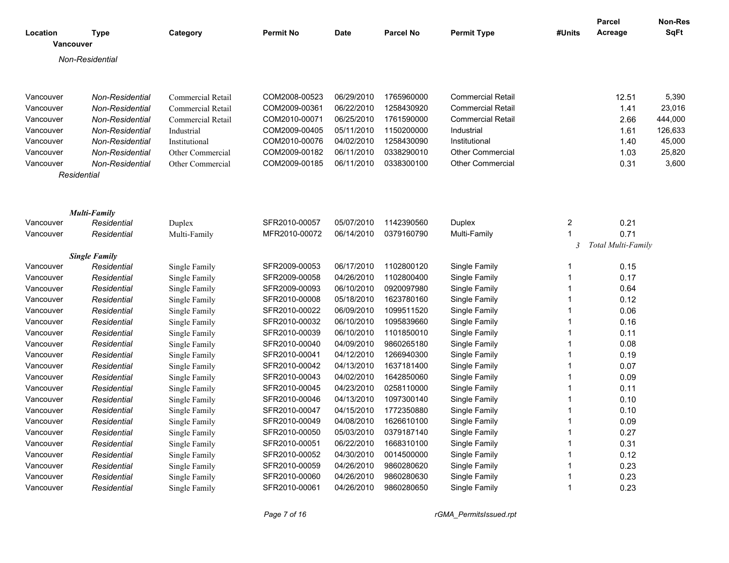| SqFt<br><b>Permit Type</b><br>Acreage<br>Location<br>Category<br><b>Permit No</b><br><b>Date</b><br><b>Parcel No</b><br>#Units<br><b>Type</b><br>Vancouver<br>Non-Residential<br>Commercial Retail<br>COM2008-00523<br>06/29/2010<br>1765960000<br><b>Commercial Retail</b><br>12.51<br>5,390<br>Vancouver<br>Non-Residential<br>06/22/2010<br>23,016<br><b>Commercial Retail</b><br>COM2009-00361<br>1258430920<br><b>Commercial Retail</b><br>1.41<br>Vancouver<br>Non-Residential<br>COM2010-00071<br>06/25/2010<br>1761590000<br>2.66<br>444,000<br>Vancouver<br>Non-Residential<br>Commercial Retail<br><b>Commercial Retail</b><br>COM2009-00405<br>05/11/2010<br>1150200000<br>Vancouver<br><b>Non-Residential</b><br>Industrial<br>1.61<br>126,633<br>Industrial<br>COM2010-00076<br>04/02/2010<br>1258430090<br>45,000<br>Vancouver<br><b>Non-Residential</b><br>Institutional<br>Institutional<br>1.40<br>COM2009-00182<br>06/11/2010<br>0338290010<br>Other Commercial<br>25,820<br>Vancouver<br><b>Non-Residential</b><br>1.03<br>Other Commercial<br>0338300100<br><b>Other Commercial</b><br>0.31<br>3,600<br>Vancouver<br><b>Non-Residential</b><br>Other Commercial<br>COM2009-00185<br>06/11/2010<br>Residential<br><b>Multi-Family</b><br>$\overline{c}$<br>0.21<br>Duplex<br>SFR2010-00057<br>05/07/2010<br>1142390560<br>Duplex<br>Vancouver<br>Residential<br>1<br>0.71<br>MFR2010-00072<br>06/14/2010<br>0379160790<br>Multi-Family<br>Residential<br>Vancouver<br>Multi-Family<br>$\mathfrak{Z}$<br>Total Multi-Family<br><b>Single Family</b><br>Vancouver<br>SFR2009-00053<br>06/17/2010<br>1102800120<br>Single Family<br>0.15<br>Residential<br>Single Family<br>1<br>04/26/2010<br>Single Family<br>0.17<br>Vancouver<br>Residential<br>Single Family<br>SFR2009-00058<br>1102800400<br>1<br>$\mathbf{1}$<br>Residential<br>Single Family<br>06/10/2010<br>0920097980<br>Single Family<br>0.64<br>Vancouver<br>SFR2009-00093<br>05/18/2010<br>1623780160<br>$\mathbf{1}$<br>0.12<br>Vancouver<br>Residential<br>Single Family<br>SFR2010-00008<br>Single Family<br>06/09/2010<br>1099511520<br>$\mathbf{1}$<br>0.06<br>Vancouver<br>Single Family<br>SFR2010-00022<br>Single Family<br>Residential<br>SFR2010-00032<br>06/10/2010<br>1095839660<br>Single Family<br>$\mathbf{1}$<br>0.16<br>Vancouver<br>Residential<br>Single Family<br>1101850010<br>SFR2010-00039<br>06/10/2010<br>Single Family<br>$\mathbf{1}$<br>0.11<br>Vancouver<br>Residential<br>Single Family<br>04/09/2010<br>9860265180<br>$\mathbf{1}$<br>Vancouver<br>Single Family<br>SFR2010-00040<br>Single Family<br>0.08<br>Residential<br>04/12/2010<br>1266940300<br>Single Family<br>0.19<br>Vancouver<br>Residential<br>Single Family<br>SFR2010-00041<br>1<br>SFR2010-00042<br>04/13/2010<br>1637181400<br>Single Family<br>$\mathbf{1}$<br>0.07<br>Vancouver<br>Residential<br>Single Family<br>$\mathbf{1}$<br>Vancouver<br>Residential<br>Single Family<br>SFR2010-00043<br>04/02/2010<br>1642850060<br>Single Family<br>0.09<br>Single Family<br>04/23/2010<br>0258110000<br>Single Family<br>$\mathbf{1}$<br>0.11<br>Vancouver<br>Residential<br>SFR2010-00045<br>04/13/2010<br>1097300140<br>$\mathbf{1}$<br>0.10<br>Vancouver<br>Residential<br>Single Family<br>SFR2010-00046<br>Single Family<br>SFR2010-00047<br>04/15/2010<br>1772350880<br>Single Family<br>$\mathbf{1}$<br>0.10<br>Vancouver<br>Residential<br>Single Family<br>04/08/2010<br>1626610100<br>$\mathbf{1}$<br>SFR2010-00049<br>Single Family<br>0.09<br>Vancouver<br>Residential<br>Single Family<br>05/03/2010<br>0.27<br>Single Family<br>SFR2010-00050<br>0379187140<br>Single Family<br>1<br>Vancouver<br>Residential<br>SFR2010-00051<br>06/22/2010<br>1668310100<br>Single Family<br>$\mathbf{1}$<br>0.31<br>Vancouver<br>Residential<br>Single Family<br>Residential<br>Single Family<br>SFR2010-00052<br>04/30/2010<br>0014500000<br>Single Family<br>$\mathbf{1}$<br>0.12<br>Vancouver<br>04/26/2010<br>9860280620<br>$\mathbf{1}$<br>0.23<br>Vancouver<br>Residential<br>Single Family<br>SFR2010-00059<br>Single Family<br>0.23<br>Vancouver<br>Residential<br>Single Family<br>SFR2010-00060<br>04/26/2010<br>9860280630<br>Single Family<br>$\mathbf{1}$<br>9860280650<br>0.23<br>Vancouver<br>SFR2010-00061<br>04/26/2010<br>Single Family<br>1<br>Residential<br>Single Family |  |  |  |  | Parcel | <b>Non-Res</b> |
|-------------------------------------------------------------------------------------------------------------------------------------------------------------------------------------------------------------------------------------------------------------------------------------------------------------------------------------------------------------------------------------------------------------------------------------------------------------------------------------------------------------------------------------------------------------------------------------------------------------------------------------------------------------------------------------------------------------------------------------------------------------------------------------------------------------------------------------------------------------------------------------------------------------------------------------------------------------------------------------------------------------------------------------------------------------------------------------------------------------------------------------------------------------------------------------------------------------------------------------------------------------------------------------------------------------------------------------------------------------------------------------------------------------------------------------------------------------------------------------------------------------------------------------------------------------------------------------------------------------------------------------------------------------------------------------------------------------------------------------------------------------------------------------------------------------------------------------------------------------------------------------------------------------------------------------------------------------------------------------------------------------------------------------------------------------------------------------------------------------------------------------------------------------------------------------------------------------------------------------------------------------------------------------------------------------------------------------------------------------------------------------------------------------------------------------------------------------------------------------------------------------------------------------------------------------------------------------------------------------------------------------------------------------------------------------------------------------------------------------------------------------------------------------------------------------------------------------------------------------------------------------------------------------------------------------------------------------------------------------------------------------------------------------------------------------------------------------------------------------------------------------------------------------------------------------------------------------------------------------------------------------------------------------------------------------------------------------------------------------------------------------------------------------------------------------------------------------------------------------------------------------------------------------------------------------------------------------------------------------------------------------------------------------------------------------------------------------------------------------------------------------------------------------------------------------------------------------------------------------------------------------------------------------------------------------------------------------------------------------------------------------------------------------------------------------------------------------------------------------------------------------------------------------------------------------------------------------------------------------------------------------------------------------------------------------------------------------------------------------------------------|--|--|--|--|--------|----------------|
|                                                                                                                                                                                                                                                                                                                                                                                                                                                                                                                                                                                                                                                                                                                                                                                                                                                                                                                                                                                                                                                                                                                                                                                                                                                                                                                                                                                                                                                                                                                                                                                                                                                                                                                                                                                                                                                                                                                                                                                                                                                                                                                                                                                                                                                                                                                                                                                                                                                                                                                                                                                                                                                                                                                                                                                                                                                                                                                                                                                                                                                                                                                                                                                                                                                                                                                                                                                                                                                                                                                                                                                                                                                                                                                                                                                                                                                                                                                                                                                                                                                                                                                                                                                                                                                                                                                                                                               |  |  |  |  |        |                |
|                                                                                                                                                                                                                                                                                                                                                                                                                                                                                                                                                                                                                                                                                                                                                                                                                                                                                                                                                                                                                                                                                                                                                                                                                                                                                                                                                                                                                                                                                                                                                                                                                                                                                                                                                                                                                                                                                                                                                                                                                                                                                                                                                                                                                                                                                                                                                                                                                                                                                                                                                                                                                                                                                                                                                                                                                                                                                                                                                                                                                                                                                                                                                                                                                                                                                                                                                                                                                                                                                                                                                                                                                                                                                                                                                                                                                                                                                                                                                                                                                                                                                                                                                                                                                                                                                                                                                                               |  |  |  |  |        |                |
|                                                                                                                                                                                                                                                                                                                                                                                                                                                                                                                                                                                                                                                                                                                                                                                                                                                                                                                                                                                                                                                                                                                                                                                                                                                                                                                                                                                                                                                                                                                                                                                                                                                                                                                                                                                                                                                                                                                                                                                                                                                                                                                                                                                                                                                                                                                                                                                                                                                                                                                                                                                                                                                                                                                                                                                                                                                                                                                                                                                                                                                                                                                                                                                                                                                                                                                                                                                                                                                                                                                                                                                                                                                                                                                                                                                                                                                                                                                                                                                                                                                                                                                                                                                                                                                                                                                                                                               |  |  |  |  |        |                |
|                                                                                                                                                                                                                                                                                                                                                                                                                                                                                                                                                                                                                                                                                                                                                                                                                                                                                                                                                                                                                                                                                                                                                                                                                                                                                                                                                                                                                                                                                                                                                                                                                                                                                                                                                                                                                                                                                                                                                                                                                                                                                                                                                                                                                                                                                                                                                                                                                                                                                                                                                                                                                                                                                                                                                                                                                                                                                                                                                                                                                                                                                                                                                                                                                                                                                                                                                                                                                                                                                                                                                                                                                                                                                                                                                                                                                                                                                                                                                                                                                                                                                                                                                                                                                                                                                                                                                                               |  |  |  |  |        |                |
|                                                                                                                                                                                                                                                                                                                                                                                                                                                                                                                                                                                                                                                                                                                                                                                                                                                                                                                                                                                                                                                                                                                                                                                                                                                                                                                                                                                                                                                                                                                                                                                                                                                                                                                                                                                                                                                                                                                                                                                                                                                                                                                                                                                                                                                                                                                                                                                                                                                                                                                                                                                                                                                                                                                                                                                                                                                                                                                                                                                                                                                                                                                                                                                                                                                                                                                                                                                                                                                                                                                                                                                                                                                                                                                                                                                                                                                                                                                                                                                                                                                                                                                                                                                                                                                                                                                                                                               |  |  |  |  |        |                |
|                                                                                                                                                                                                                                                                                                                                                                                                                                                                                                                                                                                                                                                                                                                                                                                                                                                                                                                                                                                                                                                                                                                                                                                                                                                                                                                                                                                                                                                                                                                                                                                                                                                                                                                                                                                                                                                                                                                                                                                                                                                                                                                                                                                                                                                                                                                                                                                                                                                                                                                                                                                                                                                                                                                                                                                                                                                                                                                                                                                                                                                                                                                                                                                                                                                                                                                                                                                                                                                                                                                                                                                                                                                                                                                                                                                                                                                                                                                                                                                                                                                                                                                                                                                                                                                                                                                                                                               |  |  |  |  |        |                |
|                                                                                                                                                                                                                                                                                                                                                                                                                                                                                                                                                                                                                                                                                                                                                                                                                                                                                                                                                                                                                                                                                                                                                                                                                                                                                                                                                                                                                                                                                                                                                                                                                                                                                                                                                                                                                                                                                                                                                                                                                                                                                                                                                                                                                                                                                                                                                                                                                                                                                                                                                                                                                                                                                                                                                                                                                                                                                                                                                                                                                                                                                                                                                                                                                                                                                                                                                                                                                                                                                                                                                                                                                                                                                                                                                                                                                                                                                                                                                                                                                                                                                                                                                                                                                                                                                                                                                                               |  |  |  |  |        |                |
|                                                                                                                                                                                                                                                                                                                                                                                                                                                                                                                                                                                                                                                                                                                                                                                                                                                                                                                                                                                                                                                                                                                                                                                                                                                                                                                                                                                                                                                                                                                                                                                                                                                                                                                                                                                                                                                                                                                                                                                                                                                                                                                                                                                                                                                                                                                                                                                                                                                                                                                                                                                                                                                                                                                                                                                                                                                                                                                                                                                                                                                                                                                                                                                                                                                                                                                                                                                                                                                                                                                                                                                                                                                                                                                                                                                                                                                                                                                                                                                                                                                                                                                                                                                                                                                                                                                                                                               |  |  |  |  |        |                |
|                                                                                                                                                                                                                                                                                                                                                                                                                                                                                                                                                                                                                                                                                                                                                                                                                                                                                                                                                                                                                                                                                                                                                                                                                                                                                                                                                                                                                                                                                                                                                                                                                                                                                                                                                                                                                                                                                                                                                                                                                                                                                                                                                                                                                                                                                                                                                                                                                                                                                                                                                                                                                                                                                                                                                                                                                                                                                                                                                                                                                                                                                                                                                                                                                                                                                                                                                                                                                                                                                                                                                                                                                                                                                                                                                                                                                                                                                                                                                                                                                                                                                                                                                                                                                                                                                                                                                                               |  |  |  |  |        |                |
|                                                                                                                                                                                                                                                                                                                                                                                                                                                                                                                                                                                                                                                                                                                                                                                                                                                                                                                                                                                                                                                                                                                                                                                                                                                                                                                                                                                                                                                                                                                                                                                                                                                                                                                                                                                                                                                                                                                                                                                                                                                                                                                                                                                                                                                                                                                                                                                                                                                                                                                                                                                                                                                                                                                                                                                                                                                                                                                                                                                                                                                                                                                                                                                                                                                                                                                                                                                                                                                                                                                                                                                                                                                                                                                                                                                                                                                                                                                                                                                                                                                                                                                                                                                                                                                                                                                                                                               |  |  |  |  |        |                |
|                                                                                                                                                                                                                                                                                                                                                                                                                                                                                                                                                                                                                                                                                                                                                                                                                                                                                                                                                                                                                                                                                                                                                                                                                                                                                                                                                                                                                                                                                                                                                                                                                                                                                                                                                                                                                                                                                                                                                                                                                                                                                                                                                                                                                                                                                                                                                                                                                                                                                                                                                                                                                                                                                                                                                                                                                                                                                                                                                                                                                                                                                                                                                                                                                                                                                                                                                                                                                                                                                                                                                                                                                                                                                                                                                                                                                                                                                                                                                                                                                                                                                                                                                                                                                                                                                                                                                                               |  |  |  |  |        |                |
|                                                                                                                                                                                                                                                                                                                                                                                                                                                                                                                                                                                                                                                                                                                                                                                                                                                                                                                                                                                                                                                                                                                                                                                                                                                                                                                                                                                                                                                                                                                                                                                                                                                                                                                                                                                                                                                                                                                                                                                                                                                                                                                                                                                                                                                                                                                                                                                                                                                                                                                                                                                                                                                                                                                                                                                                                                                                                                                                                                                                                                                                                                                                                                                                                                                                                                                                                                                                                                                                                                                                                                                                                                                                                                                                                                                                                                                                                                                                                                                                                                                                                                                                                                                                                                                                                                                                                                               |  |  |  |  |        |                |
|                                                                                                                                                                                                                                                                                                                                                                                                                                                                                                                                                                                                                                                                                                                                                                                                                                                                                                                                                                                                                                                                                                                                                                                                                                                                                                                                                                                                                                                                                                                                                                                                                                                                                                                                                                                                                                                                                                                                                                                                                                                                                                                                                                                                                                                                                                                                                                                                                                                                                                                                                                                                                                                                                                                                                                                                                                                                                                                                                                                                                                                                                                                                                                                                                                                                                                                                                                                                                                                                                                                                                                                                                                                                                                                                                                                                                                                                                                                                                                                                                                                                                                                                                                                                                                                                                                                                                                               |  |  |  |  |        |                |
|                                                                                                                                                                                                                                                                                                                                                                                                                                                                                                                                                                                                                                                                                                                                                                                                                                                                                                                                                                                                                                                                                                                                                                                                                                                                                                                                                                                                                                                                                                                                                                                                                                                                                                                                                                                                                                                                                                                                                                                                                                                                                                                                                                                                                                                                                                                                                                                                                                                                                                                                                                                                                                                                                                                                                                                                                                                                                                                                                                                                                                                                                                                                                                                                                                                                                                                                                                                                                                                                                                                                                                                                                                                                                                                                                                                                                                                                                                                                                                                                                                                                                                                                                                                                                                                                                                                                                                               |  |  |  |  |        |                |
|                                                                                                                                                                                                                                                                                                                                                                                                                                                                                                                                                                                                                                                                                                                                                                                                                                                                                                                                                                                                                                                                                                                                                                                                                                                                                                                                                                                                                                                                                                                                                                                                                                                                                                                                                                                                                                                                                                                                                                                                                                                                                                                                                                                                                                                                                                                                                                                                                                                                                                                                                                                                                                                                                                                                                                                                                                                                                                                                                                                                                                                                                                                                                                                                                                                                                                                                                                                                                                                                                                                                                                                                                                                                                                                                                                                                                                                                                                                                                                                                                                                                                                                                                                                                                                                                                                                                                                               |  |  |  |  |        |                |
|                                                                                                                                                                                                                                                                                                                                                                                                                                                                                                                                                                                                                                                                                                                                                                                                                                                                                                                                                                                                                                                                                                                                                                                                                                                                                                                                                                                                                                                                                                                                                                                                                                                                                                                                                                                                                                                                                                                                                                                                                                                                                                                                                                                                                                                                                                                                                                                                                                                                                                                                                                                                                                                                                                                                                                                                                                                                                                                                                                                                                                                                                                                                                                                                                                                                                                                                                                                                                                                                                                                                                                                                                                                                                                                                                                                                                                                                                                                                                                                                                                                                                                                                                                                                                                                                                                                                                                               |  |  |  |  |        |                |
|                                                                                                                                                                                                                                                                                                                                                                                                                                                                                                                                                                                                                                                                                                                                                                                                                                                                                                                                                                                                                                                                                                                                                                                                                                                                                                                                                                                                                                                                                                                                                                                                                                                                                                                                                                                                                                                                                                                                                                                                                                                                                                                                                                                                                                                                                                                                                                                                                                                                                                                                                                                                                                                                                                                                                                                                                                                                                                                                                                                                                                                                                                                                                                                                                                                                                                                                                                                                                                                                                                                                                                                                                                                                                                                                                                                                                                                                                                                                                                                                                                                                                                                                                                                                                                                                                                                                                                               |  |  |  |  |        |                |
|                                                                                                                                                                                                                                                                                                                                                                                                                                                                                                                                                                                                                                                                                                                                                                                                                                                                                                                                                                                                                                                                                                                                                                                                                                                                                                                                                                                                                                                                                                                                                                                                                                                                                                                                                                                                                                                                                                                                                                                                                                                                                                                                                                                                                                                                                                                                                                                                                                                                                                                                                                                                                                                                                                                                                                                                                                                                                                                                                                                                                                                                                                                                                                                                                                                                                                                                                                                                                                                                                                                                                                                                                                                                                                                                                                                                                                                                                                                                                                                                                                                                                                                                                                                                                                                                                                                                                                               |  |  |  |  |        |                |
|                                                                                                                                                                                                                                                                                                                                                                                                                                                                                                                                                                                                                                                                                                                                                                                                                                                                                                                                                                                                                                                                                                                                                                                                                                                                                                                                                                                                                                                                                                                                                                                                                                                                                                                                                                                                                                                                                                                                                                                                                                                                                                                                                                                                                                                                                                                                                                                                                                                                                                                                                                                                                                                                                                                                                                                                                                                                                                                                                                                                                                                                                                                                                                                                                                                                                                                                                                                                                                                                                                                                                                                                                                                                                                                                                                                                                                                                                                                                                                                                                                                                                                                                                                                                                                                                                                                                                                               |  |  |  |  |        |                |
|                                                                                                                                                                                                                                                                                                                                                                                                                                                                                                                                                                                                                                                                                                                                                                                                                                                                                                                                                                                                                                                                                                                                                                                                                                                                                                                                                                                                                                                                                                                                                                                                                                                                                                                                                                                                                                                                                                                                                                                                                                                                                                                                                                                                                                                                                                                                                                                                                                                                                                                                                                                                                                                                                                                                                                                                                                                                                                                                                                                                                                                                                                                                                                                                                                                                                                                                                                                                                                                                                                                                                                                                                                                                                                                                                                                                                                                                                                                                                                                                                                                                                                                                                                                                                                                                                                                                                                               |  |  |  |  |        |                |
|                                                                                                                                                                                                                                                                                                                                                                                                                                                                                                                                                                                                                                                                                                                                                                                                                                                                                                                                                                                                                                                                                                                                                                                                                                                                                                                                                                                                                                                                                                                                                                                                                                                                                                                                                                                                                                                                                                                                                                                                                                                                                                                                                                                                                                                                                                                                                                                                                                                                                                                                                                                                                                                                                                                                                                                                                                                                                                                                                                                                                                                                                                                                                                                                                                                                                                                                                                                                                                                                                                                                                                                                                                                                                                                                                                                                                                                                                                                                                                                                                                                                                                                                                                                                                                                                                                                                                                               |  |  |  |  |        |                |
|                                                                                                                                                                                                                                                                                                                                                                                                                                                                                                                                                                                                                                                                                                                                                                                                                                                                                                                                                                                                                                                                                                                                                                                                                                                                                                                                                                                                                                                                                                                                                                                                                                                                                                                                                                                                                                                                                                                                                                                                                                                                                                                                                                                                                                                                                                                                                                                                                                                                                                                                                                                                                                                                                                                                                                                                                                                                                                                                                                                                                                                                                                                                                                                                                                                                                                                                                                                                                                                                                                                                                                                                                                                                                                                                                                                                                                                                                                                                                                                                                                                                                                                                                                                                                                                                                                                                                                               |  |  |  |  |        |                |
|                                                                                                                                                                                                                                                                                                                                                                                                                                                                                                                                                                                                                                                                                                                                                                                                                                                                                                                                                                                                                                                                                                                                                                                                                                                                                                                                                                                                                                                                                                                                                                                                                                                                                                                                                                                                                                                                                                                                                                                                                                                                                                                                                                                                                                                                                                                                                                                                                                                                                                                                                                                                                                                                                                                                                                                                                                                                                                                                                                                                                                                                                                                                                                                                                                                                                                                                                                                                                                                                                                                                                                                                                                                                                                                                                                                                                                                                                                                                                                                                                                                                                                                                                                                                                                                                                                                                                                               |  |  |  |  |        |                |
|                                                                                                                                                                                                                                                                                                                                                                                                                                                                                                                                                                                                                                                                                                                                                                                                                                                                                                                                                                                                                                                                                                                                                                                                                                                                                                                                                                                                                                                                                                                                                                                                                                                                                                                                                                                                                                                                                                                                                                                                                                                                                                                                                                                                                                                                                                                                                                                                                                                                                                                                                                                                                                                                                                                                                                                                                                                                                                                                                                                                                                                                                                                                                                                                                                                                                                                                                                                                                                                                                                                                                                                                                                                                                                                                                                                                                                                                                                                                                                                                                                                                                                                                                                                                                                                                                                                                                                               |  |  |  |  |        |                |
|                                                                                                                                                                                                                                                                                                                                                                                                                                                                                                                                                                                                                                                                                                                                                                                                                                                                                                                                                                                                                                                                                                                                                                                                                                                                                                                                                                                                                                                                                                                                                                                                                                                                                                                                                                                                                                                                                                                                                                                                                                                                                                                                                                                                                                                                                                                                                                                                                                                                                                                                                                                                                                                                                                                                                                                                                                                                                                                                                                                                                                                                                                                                                                                                                                                                                                                                                                                                                                                                                                                                                                                                                                                                                                                                                                                                                                                                                                                                                                                                                                                                                                                                                                                                                                                                                                                                                                               |  |  |  |  |        |                |
|                                                                                                                                                                                                                                                                                                                                                                                                                                                                                                                                                                                                                                                                                                                                                                                                                                                                                                                                                                                                                                                                                                                                                                                                                                                                                                                                                                                                                                                                                                                                                                                                                                                                                                                                                                                                                                                                                                                                                                                                                                                                                                                                                                                                                                                                                                                                                                                                                                                                                                                                                                                                                                                                                                                                                                                                                                                                                                                                                                                                                                                                                                                                                                                                                                                                                                                                                                                                                                                                                                                                                                                                                                                                                                                                                                                                                                                                                                                                                                                                                                                                                                                                                                                                                                                                                                                                                                               |  |  |  |  |        |                |
|                                                                                                                                                                                                                                                                                                                                                                                                                                                                                                                                                                                                                                                                                                                                                                                                                                                                                                                                                                                                                                                                                                                                                                                                                                                                                                                                                                                                                                                                                                                                                                                                                                                                                                                                                                                                                                                                                                                                                                                                                                                                                                                                                                                                                                                                                                                                                                                                                                                                                                                                                                                                                                                                                                                                                                                                                                                                                                                                                                                                                                                                                                                                                                                                                                                                                                                                                                                                                                                                                                                                                                                                                                                                                                                                                                                                                                                                                                                                                                                                                                                                                                                                                                                                                                                                                                                                                                               |  |  |  |  |        |                |
|                                                                                                                                                                                                                                                                                                                                                                                                                                                                                                                                                                                                                                                                                                                                                                                                                                                                                                                                                                                                                                                                                                                                                                                                                                                                                                                                                                                                                                                                                                                                                                                                                                                                                                                                                                                                                                                                                                                                                                                                                                                                                                                                                                                                                                                                                                                                                                                                                                                                                                                                                                                                                                                                                                                                                                                                                                                                                                                                                                                                                                                                                                                                                                                                                                                                                                                                                                                                                                                                                                                                                                                                                                                                                                                                                                                                                                                                                                                                                                                                                                                                                                                                                                                                                                                                                                                                                                               |  |  |  |  |        |                |
|                                                                                                                                                                                                                                                                                                                                                                                                                                                                                                                                                                                                                                                                                                                                                                                                                                                                                                                                                                                                                                                                                                                                                                                                                                                                                                                                                                                                                                                                                                                                                                                                                                                                                                                                                                                                                                                                                                                                                                                                                                                                                                                                                                                                                                                                                                                                                                                                                                                                                                                                                                                                                                                                                                                                                                                                                                                                                                                                                                                                                                                                                                                                                                                                                                                                                                                                                                                                                                                                                                                                                                                                                                                                                                                                                                                                                                                                                                                                                                                                                                                                                                                                                                                                                                                                                                                                                                               |  |  |  |  |        |                |
|                                                                                                                                                                                                                                                                                                                                                                                                                                                                                                                                                                                                                                                                                                                                                                                                                                                                                                                                                                                                                                                                                                                                                                                                                                                                                                                                                                                                                                                                                                                                                                                                                                                                                                                                                                                                                                                                                                                                                                                                                                                                                                                                                                                                                                                                                                                                                                                                                                                                                                                                                                                                                                                                                                                                                                                                                                                                                                                                                                                                                                                                                                                                                                                                                                                                                                                                                                                                                                                                                                                                                                                                                                                                                                                                                                                                                                                                                                                                                                                                                                                                                                                                                                                                                                                                                                                                                                               |  |  |  |  |        |                |
|                                                                                                                                                                                                                                                                                                                                                                                                                                                                                                                                                                                                                                                                                                                                                                                                                                                                                                                                                                                                                                                                                                                                                                                                                                                                                                                                                                                                                                                                                                                                                                                                                                                                                                                                                                                                                                                                                                                                                                                                                                                                                                                                                                                                                                                                                                                                                                                                                                                                                                                                                                                                                                                                                                                                                                                                                                                                                                                                                                                                                                                                                                                                                                                                                                                                                                                                                                                                                                                                                                                                                                                                                                                                                                                                                                                                                                                                                                                                                                                                                                                                                                                                                                                                                                                                                                                                                                               |  |  |  |  |        |                |
|                                                                                                                                                                                                                                                                                                                                                                                                                                                                                                                                                                                                                                                                                                                                                                                                                                                                                                                                                                                                                                                                                                                                                                                                                                                                                                                                                                                                                                                                                                                                                                                                                                                                                                                                                                                                                                                                                                                                                                                                                                                                                                                                                                                                                                                                                                                                                                                                                                                                                                                                                                                                                                                                                                                                                                                                                                                                                                                                                                                                                                                                                                                                                                                                                                                                                                                                                                                                                                                                                                                                                                                                                                                                                                                                                                                                                                                                                                                                                                                                                                                                                                                                                                                                                                                                                                                                                                               |  |  |  |  |        |                |
|                                                                                                                                                                                                                                                                                                                                                                                                                                                                                                                                                                                                                                                                                                                                                                                                                                                                                                                                                                                                                                                                                                                                                                                                                                                                                                                                                                                                                                                                                                                                                                                                                                                                                                                                                                                                                                                                                                                                                                                                                                                                                                                                                                                                                                                                                                                                                                                                                                                                                                                                                                                                                                                                                                                                                                                                                                                                                                                                                                                                                                                                                                                                                                                                                                                                                                                                                                                                                                                                                                                                                                                                                                                                                                                                                                                                                                                                                                                                                                                                                                                                                                                                                                                                                                                                                                                                                                               |  |  |  |  |        |                |
|                                                                                                                                                                                                                                                                                                                                                                                                                                                                                                                                                                                                                                                                                                                                                                                                                                                                                                                                                                                                                                                                                                                                                                                                                                                                                                                                                                                                                                                                                                                                                                                                                                                                                                                                                                                                                                                                                                                                                                                                                                                                                                                                                                                                                                                                                                                                                                                                                                                                                                                                                                                                                                                                                                                                                                                                                                                                                                                                                                                                                                                                                                                                                                                                                                                                                                                                                                                                                                                                                                                                                                                                                                                                                                                                                                                                                                                                                                                                                                                                                                                                                                                                                                                                                                                                                                                                                                               |  |  |  |  |        |                |
|                                                                                                                                                                                                                                                                                                                                                                                                                                                                                                                                                                                                                                                                                                                                                                                                                                                                                                                                                                                                                                                                                                                                                                                                                                                                                                                                                                                                                                                                                                                                                                                                                                                                                                                                                                                                                                                                                                                                                                                                                                                                                                                                                                                                                                                                                                                                                                                                                                                                                                                                                                                                                                                                                                                                                                                                                                                                                                                                                                                                                                                                                                                                                                                                                                                                                                                                                                                                                                                                                                                                                                                                                                                                                                                                                                                                                                                                                                                                                                                                                                                                                                                                                                                                                                                                                                                                                                               |  |  |  |  |        |                |
|                                                                                                                                                                                                                                                                                                                                                                                                                                                                                                                                                                                                                                                                                                                                                                                                                                                                                                                                                                                                                                                                                                                                                                                                                                                                                                                                                                                                                                                                                                                                                                                                                                                                                                                                                                                                                                                                                                                                                                                                                                                                                                                                                                                                                                                                                                                                                                                                                                                                                                                                                                                                                                                                                                                                                                                                                                                                                                                                                                                                                                                                                                                                                                                                                                                                                                                                                                                                                                                                                                                                                                                                                                                                                                                                                                                                                                                                                                                                                                                                                                                                                                                                                                                                                                                                                                                                                                               |  |  |  |  |        |                |
|                                                                                                                                                                                                                                                                                                                                                                                                                                                                                                                                                                                                                                                                                                                                                                                                                                                                                                                                                                                                                                                                                                                                                                                                                                                                                                                                                                                                                                                                                                                                                                                                                                                                                                                                                                                                                                                                                                                                                                                                                                                                                                                                                                                                                                                                                                                                                                                                                                                                                                                                                                                                                                                                                                                                                                                                                                                                                                                                                                                                                                                                                                                                                                                                                                                                                                                                                                                                                                                                                                                                                                                                                                                                                                                                                                                                                                                                                                                                                                                                                                                                                                                                                                                                                                                                                                                                                                               |  |  |  |  |        |                |
|                                                                                                                                                                                                                                                                                                                                                                                                                                                                                                                                                                                                                                                                                                                                                                                                                                                                                                                                                                                                                                                                                                                                                                                                                                                                                                                                                                                                                                                                                                                                                                                                                                                                                                                                                                                                                                                                                                                                                                                                                                                                                                                                                                                                                                                                                                                                                                                                                                                                                                                                                                                                                                                                                                                                                                                                                                                                                                                                                                                                                                                                                                                                                                                                                                                                                                                                                                                                                                                                                                                                                                                                                                                                                                                                                                                                                                                                                                                                                                                                                                                                                                                                                                                                                                                                                                                                                                               |  |  |  |  |        |                |

*Page 7 of 16 rGMA\_PermitsIssued.rpt*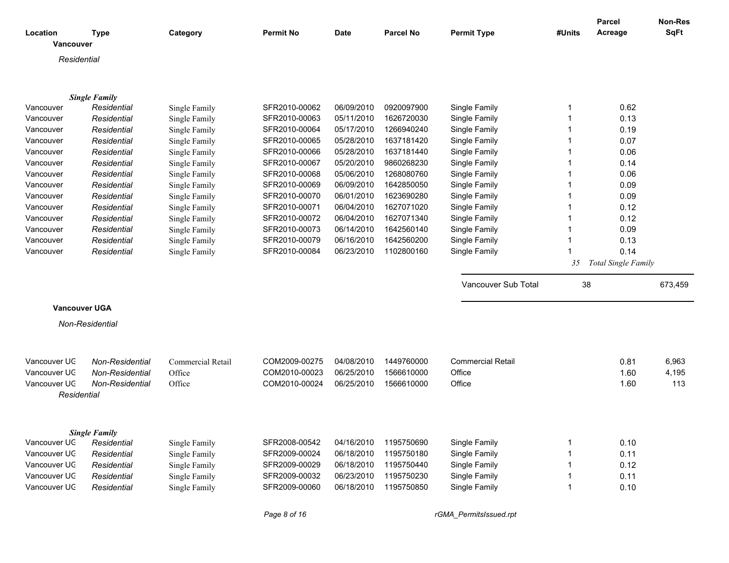| Location<br>Vancouver | <b>Type</b>          | Category          | <b>Permit No</b> | <b>Date</b> | <b>Parcel No</b> | <b>Permit Type</b>       | #Units | Parcel<br>Acreage          | Non-Res<br><b>SqFt</b> |
|-----------------------|----------------------|-------------------|------------------|-------------|------------------|--------------------------|--------|----------------------------|------------------------|
| Residential           |                      |                   |                  |             |                  |                          |        |                            |                        |
|                       |                      |                   |                  |             |                  |                          |        |                            |                        |
|                       | <b>Single Family</b> |                   |                  |             |                  |                          |        |                            |                        |
| Vancouver             | Residential          | Single Family     | SFR2010-00062    | 06/09/2010  | 0920097900       | Single Family            | 1      | 0.62                       |                        |
| Vancouver             | Residential          | Single Family     | SFR2010-00063    | 05/11/2010  | 1626720030       | Single Family            |        | 0.13                       |                        |
| Vancouver             | Residential          | Single Family     | SFR2010-00064    | 05/17/2010  | 1266940240       | Single Family            | 1      | 0.19                       |                        |
| Vancouver             | Residential          | Single Family     | SFR2010-00065    | 05/28/2010  | 1637181420       | Single Family            |        | 0.07                       |                        |
| Vancouver             | Residential          | Single Family     | SFR2010-00066    | 05/28/2010  | 1637181440       | Single Family            |        | 0.06                       |                        |
| Vancouver             | Residential          | Single Family     | SFR2010-00067    | 05/20/2010  | 9860268230       | Single Family            |        | 0.14                       |                        |
| Vancouver             | Residential          | Single Family     | SFR2010-00068    | 05/06/2010  | 1268080760       | Single Family            |        | 0.06                       |                        |
| Vancouver             | Residential          | Single Family     | SFR2010-00069    | 06/09/2010  | 1642850050       | Single Family            |        | 0.09                       |                        |
| Vancouver             | Residential          | Single Family     | SFR2010-00070    | 06/01/2010  | 1623690280       | Single Family            |        | 0.09                       |                        |
| Vancouver             | Residential          | Single Family     | SFR2010-00071    | 06/04/2010  | 1627071020       | Single Family            |        | 0.12                       |                        |
| Vancouver             | Residential          | Single Family     | SFR2010-00072    | 06/04/2010  | 1627071340       | Single Family            | 1      | 0.12                       |                        |
| Vancouver             | Residential          | Single Family     | SFR2010-00073    | 06/14/2010  | 1642560140       | Single Family            |        | 0.09                       |                        |
| Vancouver             | Residential          | Single Family     | SFR2010-00079    | 06/16/2010  | 1642560200       | Single Family            |        | 0.13                       |                        |
| Vancouver             | Residential          | Single Family     | SFR2010-00084    | 06/23/2010  | 1102800160       | Single Family            |        | 0.14                       |                        |
|                       |                      |                   |                  |             |                  |                          | 35     | <b>Total Single Family</b> |                        |
|                       |                      |                   |                  |             |                  |                          |        |                            |                        |
|                       |                      |                   |                  |             |                  | Vancouver Sub Total      | 38     |                            | 673,459                |
| <b>Vancouver UGA</b>  |                      |                   |                  |             |                  |                          |        |                            |                        |
|                       | Non-Residential      |                   |                  |             |                  |                          |        |                            |                        |
|                       |                      |                   |                  |             |                  |                          |        |                            |                        |
|                       |                      |                   |                  |             |                  |                          |        |                            |                        |
| Vancouver UC          | Non-Residential      | Commercial Retail | COM2009-00275    | 04/08/2010  | 1449760000       | <b>Commercial Retail</b> |        | 0.81                       | 6,963                  |
| Vancouver UC          | Non-Residential      | Office            | COM2010-00023    | 06/25/2010  | 1566610000       | Office                   |        | 1.60                       | 4,195                  |
| Vancouver UC          | Non-Residential      | Office            | COM2010-00024    | 06/25/2010  | 1566610000       | Office                   |        | 1.60                       | 113                    |
| Residential           |                      |                   |                  |             |                  |                          |        |                            |                        |
|                       |                      |                   |                  |             |                  |                          |        |                            |                        |
|                       | <b>Single Family</b> |                   |                  |             |                  |                          |        |                            |                        |
| Vancouver UC          | Residential          | Single Family     | SFR2008-00542    | 04/16/2010  | 1195750690       | Single Family            | 1      | 0.10                       |                        |
| Vancouver UC          | Residential          | Single Family     | SFR2009-00024    | 06/18/2010  | 1195750180       | Single Family            |        | 0.11                       |                        |
| Vancouver UC          | Residential          | Single Family     | SFR2009-00029    | 06/18/2010  | 1195750440       | Single Family            |        | 0.12                       |                        |
| Vancouver UC          | Residential          | Single Family     | SFR2009-00032    | 06/23/2010  | 1195750230       | Single Family            |        | 0.11                       |                        |
| Vancouver UC          | Residential          | Single Family     | SFR2009-00060    | 06/18/2010  | 1195750850       | Single Family            |        | 0.10                       |                        |

*Page 8 of 16 rGMA\_PermitsIssued.rpt*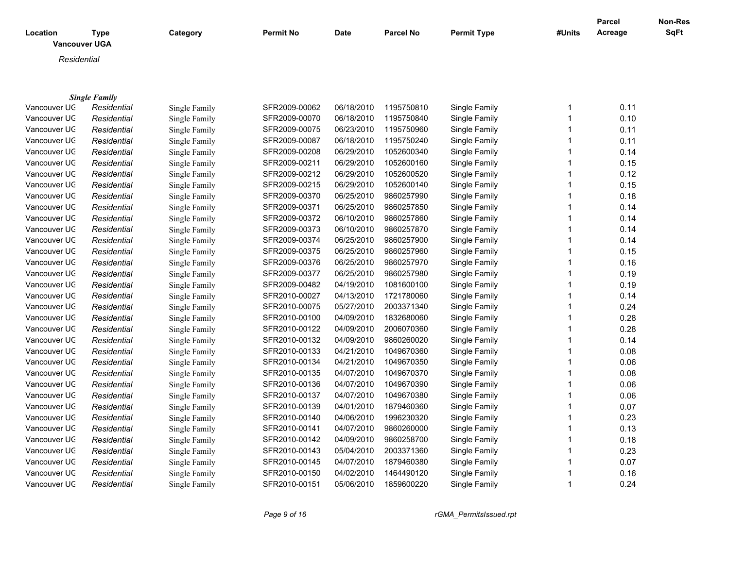| Location     | <b>Type</b><br><b>Vancouver UGA</b> | Category      | Permit No     | Date       | Parcel No  | <b>Permit Type</b> | #Units       | <b>Parcel</b><br>Acreage | Non-Res<br><b>SqFt</b> |
|--------------|-------------------------------------|---------------|---------------|------------|------------|--------------------|--------------|--------------------------|------------------------|
|              |                                     |               |               |            |            |                    |              |                          |                        |
| Residential  |                                     |               |               |            |            |                    |              |                          |                        |
|              |                                     |               |               |            |            |                    |              |                          |                        |
|              | <b>Single Family</b>                |               |               |            |            |                    |              |                          |                        |
| Vancouver UC | Residential                         | Single Family | SFR2009-00062 | 06/18/2010 | 1195750810 | Single Family      | 1            | 0.11                     |                        |
| Vancouver UC | Residential                         | Single Family | SFR2009-00070 | 06/18/2010 | 1195750840 | Single Family      | $\mathbf{1}$ | 0.10                     |                        |
| Vancouver UC | Residential                         | Single Family | SFR2009-00075 | 06/23/2010 | 1195750960 | Single Family      | $\mathbf{1}$ | 0.11                     |                        |
| Vancouver UC | Residential                         | Single Family | SFR2009-00087 | 06/18/2010 | 1195750240 | Single Family      | $\mathbf 1$  | 0.11                     |                        |
| Vancouver UC | Residential                         | Single Family | SFR2009-00208 | 06/29/2010 | 1052600340 | Single Family      | $\mathbf 1$  | 0.14                     |                        |
| Vancouver UC | Residential                         | Single Family | SFR2009-00211 | 06/29/2010 | 1052600160 | Single Family      | 1            | 0.15                     |                        |
| Vancouver UC | Residential                         | Single Family | SFR2009-00212 | 06/29/2010 | 1052600520 | Single Family      | $\mathbf 1$  | 0.12                     |                        |
| Vancouver UC | Residential                         | Single Family | SFR2009-00215 | 06/29/2010 | 1052600140 | Single Family      | 1            | 0.15                     |                        |
| Vancouver UC | Residential                         | Single Family | SFR2009-00370 | 06/25/2010 | 9860257990 | Single Family      | $\mathbf{1}$ | 0.18                     |                        |
| Vancouver UC | Residential                         | Single Family | SFR2009-00371 | 06/25/2010 | 9860257850 | Single Family      |              | 0.14                     |                        |
| Vancouver UC | Residential                         | Single Family | SFR2009-00372 | 06/10/2010 | 9860257860 | Single Family      | 1            | 0.14                     |                        |
| Vancouver UC | Residential                         | Single Family | SFR2009-00373 | 06/10/2010 | 9860257870 | Single Family      |              | 0.14                     |                        |
| Vancouver UC | Residential                         | Single Family | SFR2009-00374 | 06/25/2010 | 9860257900 | Single Family      | 1            | 0.14                     |                        |
| Vancouver UC | Residential                         | Single Family | SFR2009-00375 | 06/25/2010 | 9860257960 | Single Family      |              | 0.15                     |                        |
| Vancouver UC | Residential                         | Single Family | SFR2009-00376 | 06/25/2010 | 9860257970 | Single Family      | $\mathbf 1$  | 0.16                     |                        |
| Vancouver UC | Residential                         | Single Family | SFR2009-00377 | 06/25/2010 | 9860257980 | Single Family      | 1            | 0.19                     |                        |
| Vancouver UC | Residential                         | Single Family | SFR2009-00482 | 04/19/2010 | 1081600100 | Single Family      | $\mathbf{1}$ | 0.19                     |                        |
| Vancouver UC | Residential                         | Single Family | SFR2010-00027 | 04/13/2010 | 1721780060 | Single Family      | $\mathbf{1}$ | 0.14                     |                        |
| Vancouver UC | Residential                         | Single Family | SFR2010-00075 | 05/27/2010 | 2003371340 | Single Family      | $\mathbf{1}$ | 0.24                     |                        |
| Vancouver UC | Residential                         | Single Family | SFR2010-00100 | 04/09/2010 | 1832680060 | Single Family      | 1            | 0.28                     |                        |
| Vancouver UC | Residential                         | Single Family | SFR2010-00122 | 04/09/2010 | 2006070360 | Single Family      | 1            | 0.28                     |                        |
| Vancouver UC | Residential                         | Single Family | SFR2010-00132 | 04/09/2010 | 9860260020 | Single Family      |              | 0.14                     |                        |
| Vancouver UC | Residential                         | Single Family | SFR2010-00133 | 04/21/2010 | 1049670360 | Single Family      |              | 0.08                     |                        |
| Vancouver UC | Residential                         | Single Family | SFR2010-00134 | 04/21/2010 | 1049670350 | Single Family      | 1            | 0.06                     |                        |
| Vancouver UC | Residential                         | Single Family | SFR2010-00135 | 04/07/2010 | 1049670370 | Single Family      |              | 0.08                     |                        |
| Vancouver UC | Residential                         | Single Family | SFR2010-00136 | 04/07/2010 | 1049670390 | Single Family      | $\mathbf{1}$ | 0.06                     |                        |
| Vancouver UC | Residential                         | Single Family | SFR2010-00137 | 04/07/2010 | 1049670380 | Single Family      |              | 0.06                     |                        |
| Vancouver UC | Residential                         | Single Family | SFR2010-00139 | 04/01/2010 | 1879460360 | Single Family      | $\mathbf 1$  | 0.07                     |                        |
| Vancouver UC | Residential                         | Single Family | SFR2010-00140 | 04/06/2010 | 1996230320 | Single Family      |              | 0.23                     |                        |
| Vancouver UC | Residential                         | Single Family | SFR2010-00141 | 04/07/2010 | 9860260000 | Single Family      |              | 0.13                     |                        |
| Vancouver UC | Residential                         | Single Family | SFR2010-00142 | 04/09/2010 | 9860258700 | Single Family      |              | 0.18                     |                        |
| Vancouver UC | Residential                         | Single Family | SFR2010-00143 | 05/04/2010 | 2003371360 | Single Family      | 1            | 0.23                     |                        |
| Vancouver UC | Residential                         | Single Family | SFR2010-00145 | 04/07/2010 | 1879460380 | Single Family      |              | 0.07                     |                        |
| Vancouver UC | Residential                         | Single Family | SFR2010-00150 | 04/02/2010 | 1464490120 | Single Family      |              | 0.16                     |                        |
| Vancouver UC | Residential                         | Single Family | SFR2010-00151 | 05/06/2010 | 1859600220 | Single Family      | $\mathbf{1}$ | 0.24                     |                        |

*Page 9 of 16 rGMA\_PermitsIssued.rpt*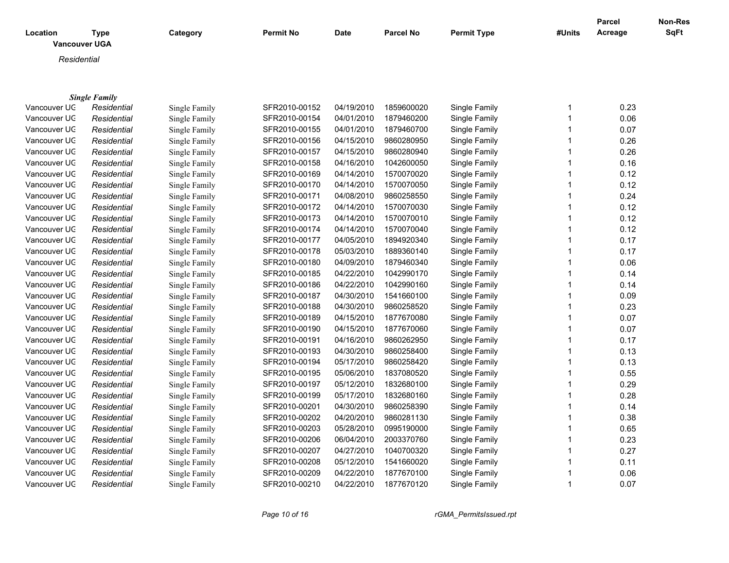| <b>Vancouver UGA</b>                                                                                                    | <b>SqFt</b> |
|-------------------------------------------------------------------------------------------------------------------------|-------------|
| Residential                                                                                                             |             |
|                                                                                                                         |             |
|                                                                                                                         |             |
| <b>Single Family</b>                                                                                                    |             |
| 0.23<br>Vancouver UC<br>SFR2010-00152<br>04/19/2010<br>1859600020<br>Single Family<br>Residential<br>Single Family<br>1 |             |
| 04/01/2010<br>0.06<br>Vancouver UC<br>SFR2010-00154<br>1879460200<br>Single Family<br>Residential<br>Single Family      |             |
| 0.07<br>04/01/2010<br>Vancouver UC<br>Residential<br>Single Family<br>SFR2010-00155<br>1879460700<br>Single Family      |             |
| Vancouver UC<br>04/15/2010<br>0.26<br>Residential<br>Single Family<br>SFR2010-00156<br>9860280950<br>Single Family<br>1 |             |
| 0.26<br>Vancouver UC<br>SFR2010-00157<br>04/15/2010<br>9860280940<br>Residential<br>Single Family<br>Single Family      |             |
| Vancouver UC<br>SFR2010-00158<br>04/16/2010<br>1042600050<br>Single Family<br>0.16<br>Residential<br>Single Family      |             |
| Vancouver UC<br>SFR2010-00169<br>04/14/2010<br>0.12<br>Residential<br>1570070020<br>Single Family<br>Single Family      |             |
| 0.12<br>04/14/2010<br>1570070050<br>Vancouver UC<br>Residential<br>Single Family<br>SFR2010-00170<br>Single Family      |             |
| 0.24<br>Vancouver UC<br>SFR2010-00171<br>04/08/2010<br>9860258550<br>Single Family<br>Residential<br>Single Family      |             |
| 0.12<br>Vancouver UC<br>SFR2010-00172<br>04/14/2010<br>1570070030<br>Single Family<br>Residential<br>Single Family      |             |
| 0.12<br>Vancouver UC<br>SFR2010-00173<br>04/14/2010<br>1570070010<br>Single Family<br>Residential<br>Single Family      |             |
| 0.12<br>Vancouver UC<br>SFR2010-00174<br>04/14/2010<br>1570070040<br>Single Family<br>Residential<br>Single Family      |             |
| Vancouver UC<br>04/05/2010<br>0.17<br>SFR2010-00177<br>1894920340<br>Single Family<br>Residential<br>Single Family      |             |
| Vancouver UC<br>05/03/2010<br>SFR2010-00178<br>1889360140<br>Single Family<br>0.17<br>Residential<br>Single Family      |             |
| 0.06<br>Vancouver UC<br>04/09/2010<br>1879460340<br>Residential<br>SFR2010-00180<br>Single Family<br>Single Family      |             |
| 0.14<br>Vancouver UC<br>04/22/2010<br>1042990170<br>Residential<br>Single Family<br>SFR2010-00185<br>Single Family      |             |
| 0.14<br>Vancouver UC<br>SFR2010-00186<br>04/22/2010<br>1042990160<br>Single Family<br>Residential<br>Single Family      |             |
| 0.09<br>Vancouver UC<br>SFR2010-00187<br>04/30/2010<br>1541660100<br>Single Family<br>Residential<br>Single Family      |             |
| 0.23<br>Vancouver UC<br>SFR2010-00188<br>04/30/2010<br>9860258520<br>Single Family<br>Residential<br>Single Family      |             |
| 04/15/2010<br>0.07<br>Vancouver UC<br>SFR2010-00189<br>1877670080<br>Single Family<br>Residential<br>Single Family      |             |
| Vancouver UC<br>SFR2010-00190<br>04/15/2010<br>0.07<br>1877670060<br>Single Family<br>Residential<br>Single Family      |             |
| Vancouver UC<br>SFR2010-00191<br>04/16/2010<br>9860262950<br>Single Family<br>0.17<br>Residential<br>Single Family      |             |
| 0.13<br>Vancouver UC<br>SFR2010-00193<br>04/30/2010<br>9860258400<br>Single Family<br>Residential<br>Single Family      |             |
| 05/17/2010<br>0.13<br>Vancouver UC<br>Single Family<br>SFR2010-00194<br>9860258420<br>Single Family<br>Residential      |             |
| 05/06/2010<br>0.55<br>Vancouver UC<br>Residential<br>SFR2010-00195<br>1837080520<br>Single Family<br>Single Family      |             |
| 05/12/2010<br>0.29<br>Vancouver UC<br>Residential<br>SFR2010-00197<br>1832680100<br>Single Family<br>Single Family      |             |
| 05/17/2010<br>0.28<br>Vancouver UC<br>Residential<br>SFR2010-00199<br>1832680160<br>Single Family<br>Single Family<br>1 |             |
| Vancouver UC<br>04/30/2010<br>0.14<br>SFR2010-00201<br>9860258390<br>Single Family<br>Residential<br>Single Family      |             |
| Vancouver UC<br>04/20/2010<br>0.38<br>SFR2010-00202<br>9860281130<br>Single Family<br>Residential<br>Single Family      |             |
| Vancouver UC<br>SFR2010-00203<br>05/28/2010<br>0995190000<br>Single Family<br>0.65<br>Residential<br>Single Family      |             |
| 0.23<br>Vancouver UC<br>SFR2010-00206<br>06/04/2010<br>2003370760<br>Single Family<br>Residential<br>Single Family      |             |

Vancouver UGA *Residential* Single Family SFR2010-00207 04/27/2010 1040700320 Single Family 1 0.27 Vancouver UGA *Residential* Single Family SFR2010-00208 05/12/2010 1541660020 Single Family 1 0.11 Vancouver UGA *Residential* Single Family SFR2010-00209 04/22/2010 1877670100 Single Family 1 0.06 Vancouver UG *Residential* Single Family SFR2010-00210 04/22/2010 1877670120 Single Family 1 0.07

*Page 10 of 16 rGMA\_PermitsIssued.rpt*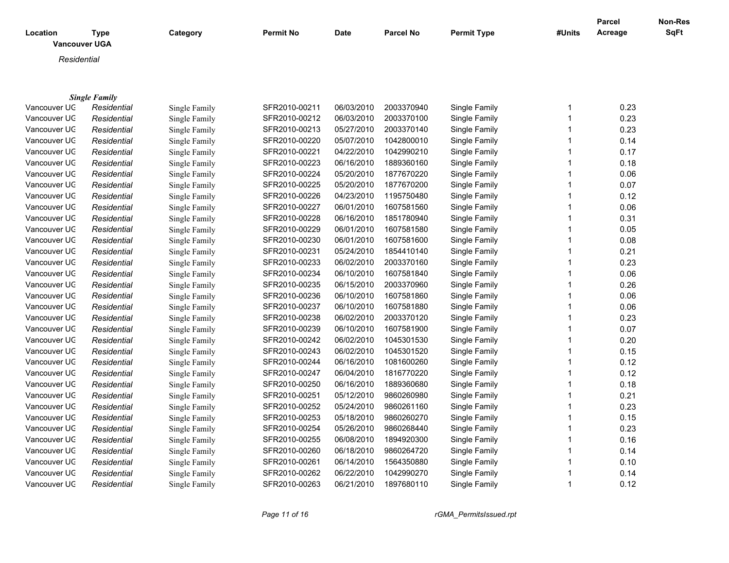| Location<br><b>Vancouver UGA</b> | Type                 | Category      | <b>Permit No</b> | Date       | <b>Parcel No</b> | <b>Permit Type</b> | #Units | <b>Parcel</b><br>Acreage | Non-Res<br>SqFt |
|----------------------------------|----------------------|---------------|------------------|------------|------------------|--------------------|--------|--------------------------|-----------------|
| Residential                      |                      |               |                  |            |                  |                    |        |                          |                 |
|                                  | <b>Single Family</b> |               |                  |            |                  |                    |        |                          |                 |
| Vancouver UC                     | Residential          | Single Family | SFR2010-00211    | 06/03/2010 | 2003370940       | Single Family      |        | 0.23                     |                 |
| Vancouver UC                     | Residential          | Single Family | SFR2010-00212    | 06/03/2010 | 2003370100       | Single Family      |        | 0.23                     |                 |
| Vancouver UC                     | Residential          | Single Family | SFR2010-00213    | 05/27/2010 | 2003370140       | Single Family      |        | 0.23                     |                 |
| Vancouver UC                     | Residential          | Single Family | SFR2010-00220    | 05/07/2010 | 1042800010       | Single Family      |        | 0.14                     |                 |
| Vancouver UC                     | Residential          | Single Family | SFR2010-00221    | 04/22/2010 | 1042990210       | Single Family      |        | 0.17                     |                 |
| Vancouver UC                     | Residential          | Single Family | SFR2010-00223    | 06/16/2010 | 1889360160       | Single Family      |        | 0.18                     |                 |
| Vancouver UC                     | Residential          | Single Family | SFR2010-00224    | 05/20/2010 | 1877670220       | Single Family      |        | 0.06                     |                 |
| Vancouver UC                     | Residential          | Single Family | SFR2010-00225    | 05/20/2010 | 1877670200       | Single Family      |        | 0.07                     |                 |
| Vancouver UC                     | Residential          | Single Family | SFR2010-00226    | 04/23/2010 | 1195750480       | Single Family      |        | 0.12                     |                 |
| Vancouver UC                     | Residential          | Single Family | SFR2010-00227    | 06/01/2010 | 1607581560       | Single Family      |        | 0.06                     |                 |

Vancouver UGA *Residential* Single Family SFR2010-00228 06/16/2010 1851780940 Single Family 1 0.31 Vancouver UGA *Residential* Single Family SFR2010-00229 06/01/2010 1607581580 Single Family 1 0.05 Vancouver UGA *Residential* Single Family SFR2010-00230 06/01/2010 1607581600 Single Family 1 0.08 Vancouver UGA *Residential* Single Family SFR2010-00231 05/24/2010 1854410140 Single Family 1 0.21 Vancouver UGA *Residential* Single Family SFR2010-00233 06/02/2010 2003370160 Single Family 1 0.23 Vancouver UGA *Residential* Single Family SFR2010-00234 06/10/2010 1607581840 Single Family 1 0.06 Vancouver UGA *Residential* Single Family SFR2010-00235 06/15/2010 2003370960 Single Family 1 0.26 Vancouver UGA *Residential* Single Family SFR2010-00236 06/10/2010 1607581860 Single Family 1 0.06 Vancouver UGA *Residential* Single Family SFR2010-00237 06/10/2010 1607581880 Single Family 1 0.06 Vancouver UGA *Residential* Single Family SFR2010-00238 06/02/2010 2003370120 Single Family 1 0.23 Vancouver UGA *Residential* Single Family SFR2010-00239 06/10/2010 1607581900 Single Family 1 0.07 Vancouver UGA *Residential* Single Family SFR2010-00242 06/02/2010 1045301530 Single Family 1 0.20 Vancouver UGA *Residential* Single Family SFR2010-00243 06/02/2010 1045301520 Single Family 1 0.15 Vancouver UGA *Residential* Single Family SFR2010-00244 06/16/2010 1081600260 Single Family 1 0.12 Vancouver UGA *Residential* Single Family SFR2010-00247 06/04/2010 1816770220 Single Family 1 0.12 Vancouver UGA *Residential* Single Family SFR2010-00250 06/16/2010 1889360680 Single Family 1 0.18 Vancouver UGA *Residential* Single Family SFR2010-00251 05/12/2010 9860260980 Single Family 1 0.21 Vancouver UGA *Residential* Single Family SFR2010-00252 05/24/2010 9860261160 Single Family 1 0.23 Vancouver UGA *Residential* Single Family SFR2010-00253 05/18/2010 9860260270 Single Family 1 0.15 Vancouver UGA *Residential* Single Family SFR2010-00254 05/26/2010 9860268440 Single Family 1 0.23 Vancouver UGA *Residential* Single Family SFR2010-00255 06/08/2010 1894920300 Single Family 1 0.16 Vancouver UGA *Residential* Single Family SFR2010-00260 06/18/2010 9860264720 Single Family 1 0.14 Vancouver UGA *Residential* Single Family SFR2010-00261 06/14/2010 1564350880 Single Family 1 0.10 Vancouver UGA *Residential* Single Family SFR2010-00262 06/22/2010 1042990270 Single Family 1 0.14 Vancouver UGA *Residential* Single Family SFR2010-00263 06/21/2010 1897680110 Single Family 1 0.12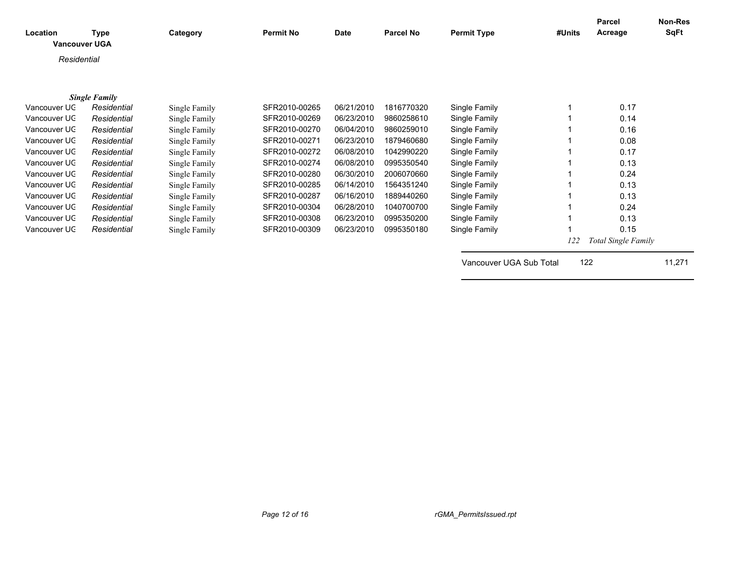| Location     | <b>Type</b><br><b>Vancouver UGA</b> | Category      | <b>Permit No</b> | <b>Date</b> | <b>Parcel No</b> | <b>Permit Type</b>      | #Units | Parcel<br>Acreage   | <b>Non-Res</b><br><b>SqFt</b> |
|--------------|-------------------------------------|---------------|------------------|-------------|------------------|-------------------------|--------|---------------------|-------------------------------|
| Residential  |                                     |               |                  |             |                  |                         |        |                     |                               |
|              |                                     |               |                  |             |                  |                         |        |                     |                               |
|              |                                     |               |                  |             |                  |                         |        |                     |                               |
|              | <b>Single Family</b>                |               |                  |             |                  |                         |        |                     |                               |
| Vancouver UC | Residential                         | Single Family | SFR2010-00265    | 06/21/2010  | 1816770320       | Single Family           |        | 0.17                |                               |
| Vancouver UC | Residential                         | Single Family | SFR2010-00269    | 06/23/2010  | 9860258610       | Single Family           |        | 0.14                |                               |
| Vancouver UC | Residential                         | Single Family | SFR2010-00270    | 06/04/2010  | 9860259010       | Single Family           |        | 0.16                |                               |
| Vancouver UC | Residential                         | Single Family | SFR2010-00271    | 06/23/2010  | 1879460680       | Single Family           |        | 0.08                |                               |
| Vancouver UC | Residential                         | Single Family | SFR2010-00272    | 06/08/2010  | 1042990220       | Single Family           |        | 0.17                |                               |
| Vancouver UC | Residential                         | Single Family | SFR2010-00274    | 06/08/2010  | 0995350540       | Single Family           |        | 0.13                |                               |
| Vancouver UC | Residential                         | Single Family | SFR2010-00280    | 06/30/2010  | 2006070660       | Single Family           |        | 0.24                |                               |
| Vancouver UC | Residential                         | Single Family | SFR2010-00285    | 06/14/2010  | 1564351240       | Single Family           |        | 0.13                |                               |
| Vancouver UC | Residential                         | Single Family | SFR2010-00287    | 06/16/2010  | 1889440260       | Single Family           |        | 0.13                |                               |
| Vancouver UC | Residential                         | Single Family | SFR2010-00304    | 06/28/2010  | 1040700700       | Single Family           |        | 0.24                |                               |
| Vancouver UC | Residential                         | Single Family | SFR2010-00308    | 06/23/2010  | 0995350200       | Single Family           |        | 0.13                |                               |
| Vancouver UC | Residential                         |               | SFR2010-00309    | 06/23/2010  | 0995350180       | Single Family           |        | 0.15                |                               |
|              |                                     | Single Family |                  |             |                  |                         |        |                     |                               |
|              |                                     |               |                  |             |                  |                         | 122    | Total Single Family |                               |
|              |                                     |               |                  |             |                  |                         |        |                     |                               |
|              |                                     |               |                  |             |                  | Vancouver UGA Sub Total | 122    |                     | 11,271                        |
|              |                                     |               |                  |             |                  |                         |        |                     |                               |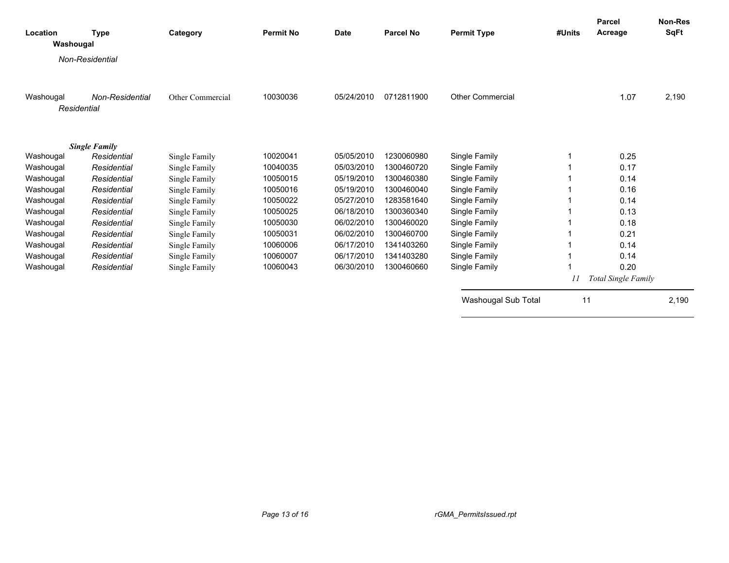| Location<br>Washougal | Type                 | Category         | <b>Permit No</b> | <b>Date</b> | <b>Parcel No</b> | <b>Permit Type</b>      | #Units | <b>Parcel</b><br>Acreage | Non-Res<br>SqFt |
|-----------------------|----------------------|------------------|------------------|-------------|------------------|-------------------------|--------|--------------------------|-----------------|
|                       | Non-Residential      |                  |                  |             |                  |                         |        |                          |                 |
|                       |                      |                  |                  |             |                  |                         |        |                          |                 |
| Washougal             | Non-Residential      | Other Commercial | 10030036         | 05/24/2010  | 0712811900       | <b>Other Commercial</b> |        | 1.07                     | 2,190           |
| Residential           |                      |                  |                  |             |                  |                         |        |                          |                 |
|                       |                      |                  |                  |             |                  |                         |        |                          |                 |
|                       | <b>Single Family</b> |                  |                  |             |                  |                         |        |                          |                 |
| Washougal             | Residential          | Single Family    | 10020041         | 05/05/2010  | 1230060980       | Single Family           |        | 0.25                     |                 |
| Washougal             | Residential          | Single Family    | 10040035         | 05/03/2010  | 1300460720       | Single Family           |        | 0.17                     |                 |
| Washougal             | Residential          | Single Family    | 10050015         | 05/19/2010  | 1300460380       | Single Family           |        | 0.14                     |                 |
| Washougal             | Residential          | Single Family    | 10050016         | 05/19/2010  | 1300460040       | Single Family           |        | 0.16                     |                 |
| Washougal             | Residential          | Single Family    | 10050022         | 05/27/2010  | 1283581640       | Single Family           |        | 0.14                     |                 |
| Washougal             | Residential          | Single Family    | 10050025         | 06/18/2010  | 1300360340       | Single Family           |        | 0.13                     |                 |
| Washougal             | Residential          | Single Family    | 10050030         | 06/02/2010  | 1300460020       | Single Family           |        | 0.18                     |                 |
| Washougal             | Residential          | Single Family    | 10050031         | 06/02/2010  | 1300460700       | Single Family           |        | 0.21                     |                 |
| Washougal             | Residential          | Single Family    | 10060006         | 06/17/2010  | 1341403260       | Single Family           |        | 0.14                     |                 |
| Washougal             | Residential          | Single Family    | 10060007         | 06/17/2010  | 1341403280       | Single Family           |        | 0.14                     |                 |
| Washougal             | Residential          | Single Family    | 10060043         | 06/30/2010  | 1300460660       | Single Family           |        | 0.20                     |                 |
|                       |                      |                  |                  |             |                  |                         | 11     | Total Single Family      |                 |
|                       |                      |                  |                  |             |                  | Washougal Sub Total     |        | 11                       | 2,190           |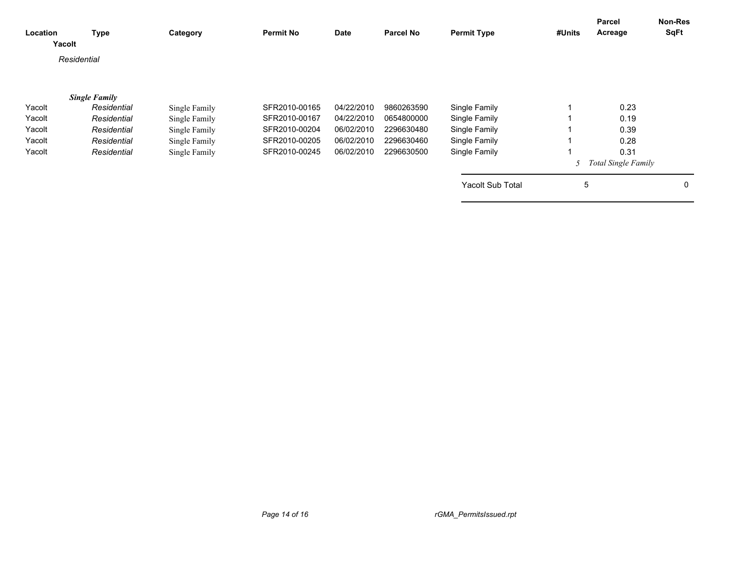| Location | Type<br>Yacolt       | Category      | <b>Permit No</b> | Date       | <b>Parcel No</b> | <b>Permit Type</b> | #Units | Parcel<br>Acreage   | <b>Non-Res</b><br><b>SqFt</b> |
|----------|----------------------|---------------|------------------|------------|------------------|--------------------|--------|---------------------|-------------------------------|
|          | Residential          |               |                  |            |                  |                    |        |                     |                               |
|          | <b>Single Family</b> |               |                  |            |                  |                    |        |                     |                               |
| Yacolt   | Residential          | Single Family | SFR2010-00165    | 04/22/2010 | 9860263590       | Single Family      |        | 0.23                |                               |
| Yacolt   | Residential          | Single Family | SFR2010-00167    | 04/22/2010 | 0654800000       | Single Family      |        | 0.19                |                               |
| Yacolt   | Residential          | Single Family | SFR2010-00204    | 06/02/2010 | 2296630480       | Single Family      |        | 0.39                |                               |
| Yacolt   | Residential          | Single Family | SFR2010-00205    | 06/02/2010 | 2296630460       | Single Family      |        | 0.28                |                               |
| Yacolt   | Residential          | Single Family | SFR2010-00245    | 06/02/2010 | 2296630500       | Single Family      |        | 0.31                |                               |
|          |                      |               |                  |            |                  |                    |        | Total Single Family |                               |
|          |                      |               |                  |            |                  | Yacolt Sub Total   | 5      |                     | 0                             |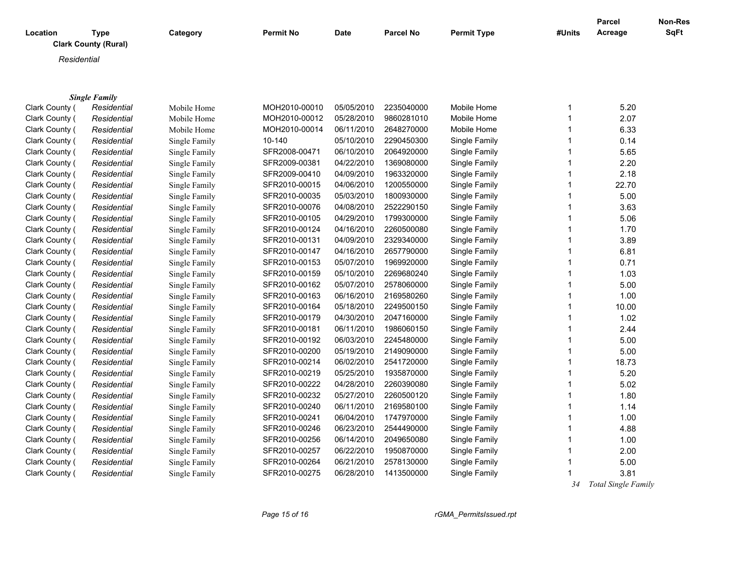| Location | Type                        | Category | <b>Permit No</b> | <b>Date</b> | <b>Parcel No</b> | <b>Permit Type</b> | #Units | <b>Parcel</b><br>Acreage | Non-Res<br><b>SqFt</b> |
|----------|-----------------------------|----------|------------------|-------------|------------------|--------------------|--------|--------------------------|------------------------|
|          | <b>Clark County (Rural)</b> |          |                  |             |                  |                    |        |                          |                        |
|          | Residential                 |          |                  |             |                  |                    |        |                          |                        |
|          |                             |          |                  |             |                  |                    |        |                          |                        |

|                | <b>Single Family</b> |               |               |            |            |               |    |                     |
|----------------|----------------------|---------------|---------------|------------|------------|---------------|----|---------------------|
| Clark County ( | Residential          | Mobile Home   | MOH2010-00010 | 05/05/2010 | 2235040000 | Mobile Home   | 1  | 5.20                |
| Clark County ( | Residential          | Mobile Home   | MOH2010-00012 | 05/28/2010 | 9860281010 | Mobile Home   |    | 2.07                |
| Clark County ( | Residential          | Mobile Home   | MOH2010-00014 | 06/11/2010 | 2648270000 | Mobile Home   |    | 6.33                |
| Clark County ( | Residential          | Single Family | 10-140        | 05/10/2010 | 2290450300 | Single Family |    | 0.14                |
| Clark County ( | Residential          | Single Family | SFR2008-00471 | 06/10/2010 | 2064920000 | Single Family |    | 5.65                |
| Clark County ( | Residential          | Single Family | SFR2009-00381 | 04/22/2010 | 1369080000 | Single Family | 1  | 2.20                |
| Clark County ( | Residential          | Single Family | SFR2009-00410 | 04/09/2010 | 1963320000 | Single Family | 1  | 2.18                |
| Clark County ( | Residential          | Single Family | SFR2010-00015 | 04/06/2010 | 1200550000 | Single Family | 1  | 22.70               |
| Clark County ( | Residential          | Single Family | SFR2010-00035 | 05/03/2010 | 1800930000 | Single Family | 1  | 5.00                |
| Clark County ( | Residential          | Single Family | SFR2010-00076 | 04/08/2010 | 2522290150 | Single Family | 1  | 3.63                |
| Clark County ( | Residential          | Single Family | SFR2010-00105 | 04/29/2010 | 1799300000 | Single Family | 1  | 5.06                |
| Clark County ( | Residential          | Single Family | SFR2010-00124 | 04/16/2010 | 2260500080 | Single Family | 1  | 1.70                |
| Clark County ( | Residential          | Single Family | SFR2010-00131 | 04/09/2010 | 2329340000 | Single Family | 1  | 3.89                |
| Clark County ( | Residential          | Single Family | SFR2010-00147 | 04/16/2010 | 2657790000 | Single Family |    | 6.81                |
| Clark County ( | Residential          | Single Family | SFR2010-00153 | 05/07/2010 | 1969920000 | Single Family |    | 0.71                |
| Clark County ( | Residential          | Single Family | SFR2010-00159 | 05/10/2010 | 2269680240 | Single Family |    | 1.03                |
| Clark County ( | Residential          | Single Family | SFR2010-00162 | 05/07/2010 | 2578060000 | Single Family | 1  | 5.00                |
| Clark County ( | Residential          | Single Family | SFR2010-00163 | 06/16/2010 | 2169580260 | Single Family | 1  | 1.00                |
| Clark County ( | Residential          | Single Family | SFR2010-00164 | 05/18/2010 | 2249500150 | Single Family | 1  | 10.00               |
| Clark County ( | Residential          | Single Family | SFR2010-00179 | 04/30/2010 | 2047160000 | Single Family | 1  | 1.02                |
| Clark County ( | Residential          | Single Family | SFR2010-00181 | 06/11/2010 | 1986060150 | Single Family | 1  | 2.44                |
| Clark County ( | Residential          | Single Family | SFR2010-00192 | 06/03/2010 | 2245480000 | Single Family | 1  | 5.00                |
| Clark County ( | Residential          | Single Family | SFR2010-00200 | 05/19/2010 | 2149090000 | Single Family | 1  | 5.00                |
| Clark County ( | Residential          | Single Family | SFR2010-00214 | 06/02/2010 | 2541720000 | Single Family | 1  | 18.73               |
| Clark County ( | Residential          | Single Family | SFR2010-00219 | 05/25/2010 | 1935870000 | Single Family | 1  | 5.20                |
| Clark County ( | Residential          | Single Family | SFR2010-00222 | 04/28/2010 | 2260390080 | Single Family |    | 5.02                |
| Clark County ( | Residential          | Single Family | SFR2010-00232 | 05/27/2010 | 2260500120 | Single Family |    | 1.80                |
| Clark County ( | Residential          | Single Family | SFR2010-00240 | 06/11/2010 | 2169580100 | Single Family |    | 1.14                |
| Clark County ( | Residential          | Single Family | SFR2010-00241 | 06/04/2010 | 1747970000 | Single Family |    | 1.00                |
| Clark County ( | Residential          | Single Family | SFR2010-00246 | 06/23/2010 | 2544490000 | Single Family |    | 4.88                |
| Clark County ( | Residential          | Single Family | SFR2010-00256 | 06/14/2010 | 2049650080 | Single Family | 1  | 1.00                |
| Clark County ( | Residential          | Single Family | SFR2010-00257 | 06/22/2010 | 1950870000 | Single Family |    | 2.00                |
| Clark County ( | Residential          | Single Family | SFR2010-00264 | 06/21/2010 | 2578130000 | Single Family |    | 5.00                |
| Clark County ( | Residential          | Single Family | SFR2010-00275 | 06/28/2010 | 1413500000 | Single Family |    | 3.81                |
|                |                      |               |               |            |            |               | 34 | Total Single Family |